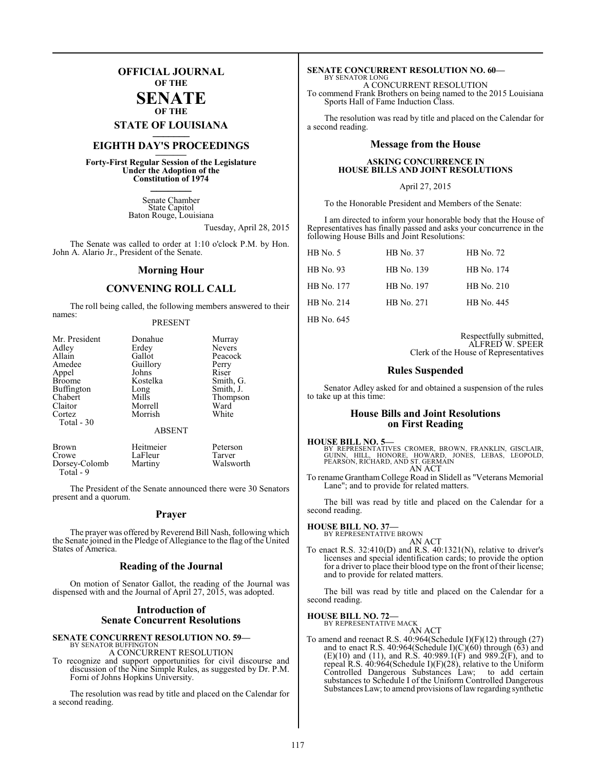## **OFFICIAL JOURNAL OF THE**

#### **SENATE OF THE**

**STATE OF LOUISIANA \_\_\_\_\_\_\_**

# **EIGHTH DAY'S PROCEEDINGS \_\_\_\_\_\_\_**

**Forty-First Regular Session of the Legislature Under the Adoption of the Constitution of 1974 \_\_\_\_\_\_\_**

> Senate Chamber State Capitol Baton Rouge, Louisiana

> > Tuesday, April 28, 2015

The Senate was called to order at 1:10 o'clock P.M. by Hon. John A. Alario Jr., President of the Senate.

#### **Morning Hour**

#### **CONVENING ROLL CALL**

The roll being called, the following members answered to their names:

#### PRESENT

| Mr. President | Donahue       | Murray        |
|---------------|---------------|---------------|
| Adley         | Erdey         | <b>Nevers</b> |
| Allain        | Gallot        | Peacock       |
| Amedee        | Guillory      | Perry         |
| Appel         | Johns         | Riser         |
| <b>Broome</b> | Kostelka      | Smith, G.     |
| Buffington    | Long          | Smith, J.     |
| Chabert       | Mills         | Thompson      |
| Claitor       | Morrell       | Ward          |
| Cortez        | Morrish       | White         |
| Total - 30    |               |               |
|               | <b>ABSENT</b> |               |
|               |               |               |

| Brown                      | Heitmeier | Peterson  |
|----------------------------|-----------|-----------|
| Crowe                      | LaFleur   | Tarver    |
| Dorsey-Colomb<br>Total - 9 | Martiny   | Walsworth |

The President of the Senate announced there were 30 Senators present and a quorum.

#### **Prayer**

The prayer was offered by Reverend Bill Nash, following which the Senate joined in the Pledge of Allegiance to the flag of the United States of America.

#### **Reading of the Journal**

On motion of Senator Gallot, the reading of the Journal was dispensed with and the Journal of April 27, 2015, was adopted.

## **Introduction of Senate Concurrent Resolutions**

#### **SENATE CONCURRENT RESOLUTION NO. 59—** BY SENATOR BUFFINGTON

A CONCURRENT RESOLUTION

To recognize and support opportunities for civil discourse and discussion of the Nine Simple Rules, as suggested by Dr. P.M. Forni of Johns Hopkins University.

The resolution was read by title and placed on the Calendar for a second reading.

#### **SENATE CONCURRENT RESOLUTION NO. 60—** BY SENATOR LONG

A CONCURRENT RESOLUTION To commend Frank Brothers on being named to the 2015 Louisiana

Sports Hall of Fame Induction Class. The resolution was read by title and placed on the Calendar for

a second reading.

#### **Message from the House**

#### **ASKING CONCURRENCE IN HOUSE BILLS AND JOINT RESOLUTIONS**

#### April 27, 2015

To the Honorable President and Members of the Senate:

I am directed to inform your honorable body that the House of Representatives has finally passed and asks your concurrence in the following House Bills and Joint Resolutions:

| $HB$ No. 5 | HB No. 37  | HB No. 72  |
|------------|------------|------------|
| HB No. 93  | HB No. 139 | HB No. 174 |
| HB No. 177 | HB No. 197 | HB No. 210 |
| HB No. 214 | HB No. 271 | HB No. 445 |
|            |            |            |

HB No. 645

Respectfully submitted, ALFRED W. SPEER Clerk of the House of Representatives

#### **Rules Suspended**

Senator Adley asked for and obtained a suspension of the rules to take up at this time:

#### **House Bills and Joint Resolutions on First Reading**

#### **HOUSE BILL NO. 5—**

BY REPRESENTATIVES CROMER, BROWN, FRANKLIN, GISCLAIR,<br>GUINN, HILL, HONORE, HOWARD, JONES, LEBAS, LEOPOLD,<br>PEARSON,RICHARD,AND ST.GERMAIN AN ACT

To rename Grantham College Road in Slidell as "Veterans Memorial Lane"; and to provide for related matters.

The bill was read by title and placed on the Calendar for a second reading.

#### **HOUSE BILL NO. 37—**

BY REPRESENTATIVE BROWN AN ACT

To enact R.S. 32:410(D) and R.S. 40:1321(N), relative to driver's licenses and special identification cards; to provide the option for a driver to place their blood type on the front of their license; and to provide for related matters.

The bill was read by title and placed on the Calendar for a second reading.

#### **HOUSE BILL NO. 72—** BY REPRESENTATIVE MACK

AN ACT

To amend and reenact R.S. 40:964(Schedule I)(F)(12) through (27) and to enact R.S. 40:964(Schedule I)(C)(60) through (63) and  $(E)(10)$  and  $(11)$ , and R.S. 40:989.1(F) and 989.2(F), and to repeal R.S. 40:964(Schedule I)(F)(28), relative to the Uniform Controlled Dangerous Substances Law; to add certain substances to Schedule I of the Uniform Controlled Dangerous Substances Law; to amend provisions of law regarding synthetic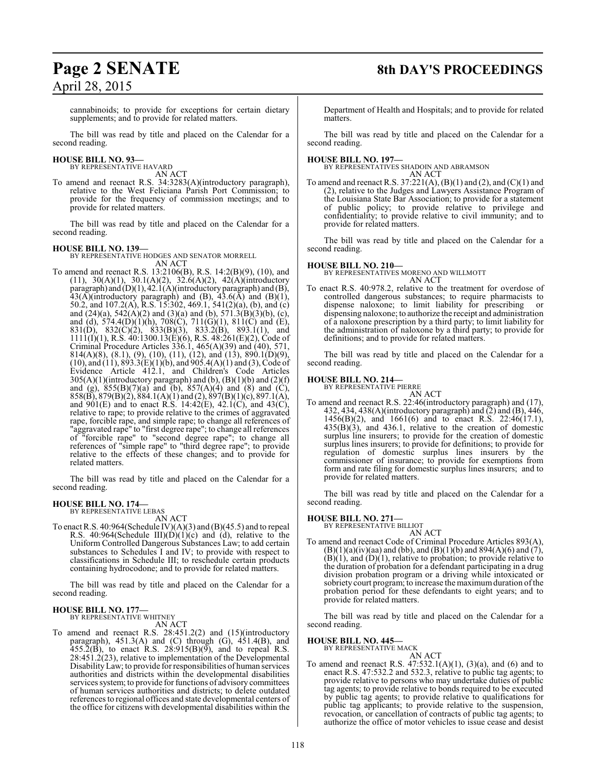# **Page 2 SENATE 8th DAY'S PROCEEDINGS**

cannabinoids; to provide for exceptions for certain dietary supplements; and to provide for related matters.

The bill was read by title and placed on the Calendar for a second reading.

# **HOUSE BILL NO. 93—** BY REPRESENTATIVE HAVARD

AN ACT

To amend and reenact R.S. 34:3283(A)(introductory paragraph), relative to the West Feliciana Parish Port Commission; to provide for the frequency of commission meetings; and to provide for related matters.

The bill was read by title and placed on the Calendar for a second reading.

#### **HOUSE BILL NO. 139—**

BY REPRESENTATIVE HODGES AND SENATOR MORRELL AN ACT

To amend and reenact R.S. 13:2106(B), R.S. 14:2(B)(9), (10), and  $(11)$ ,  $30(A)(1)$ ,  $30.1(A)(2)$ ,  $32.6(A)(2)$ ,  $42(A)(introducing$ paragraph) and (D)(1), 42.1(A)(introductory paragraph) and (B),  $43(A)$ (introductory paragraph) and (B),  $43.6(A)$  and (B)(1), 50.2, and 107.2(A), R.S. 15:302, 469.1, 541(2)(a), (b), and (c) and (24)(a), 542(A)(2) and (3)(a) and (b), 571.3(B)(3)(b), (c), and (d), 574.4(D)(1)(h), 708(C), 711(G)(1), 811(C) and (E), 831(D), 832(C)(2), 833(B)(3), 833.2(B), 893.1(1), and  $1111(1)(1)$ , R.S.  $40:1300.13(E)(6)$ , R.S.  $48:261(E)(2)$ , Code of Criminal Procedure Articles  $336.1$ ,  $465(A)(39)$  and  $(40)$ ,  $571$ , 814(A)(8), (8.1), (9), (10), (11), (12), and (13), 890.1(D)(9), (10), and (11), 893.3(E)(1)(b), and 905.4(A)(1) and (3), Code of Evidence Article 412.1, and Children's Code Articles  $305(A)(1)$ (introductory paragraph) and (b), (B)(1)(b) and (2)(f) and (g),  $855(B)(7)(a)$  and (b),  $857(A)(4)$  and (8) and (C),  $858(B)$ ,  $879(B)(2)$ ,  $884.1(A)(1)$  and  $(2)$ ,  $897(B)(1)(c)$ ,  $897.1(A)$ , and  $901(E)$  and to enact R.S. 14:42(E), 42.1(C), and 43(C), relative to rape; to provide relative to the crimes of aggravated rape, forcible rape, and simple rape; to change all references of "aggravated rape" to "first degree rape"; to change all references of "forcible rape" to "second degree rape"; to change all references of "simple rape" to "third degree rape"; to provide relative to the effects of these changes; and to provide for related matters.

The bill was read by title and placed on the Calendar for a second reading.

#### **HOUSE BILL NO. 174—** BY REPRESENTATIVE LEBAS

AN ACT

To enact R.S.  $40:964$ (Schedule IV)(A)(3) and (B)(45.5) and to repeal R.S. 40:964(Schedule III)(D)(1)(c) and (d), relative to the Uniform Controlled Dangerous Substances Law; to add certain substances to Schedules I and IV; to provide with respect to classifications in Schedule III; to reschedule certain products containing hydrocodone; and to provide for related matters.

The bill was read by title and placed on the Calendar for a second reading.

#### **HOUSE BILL NO. 177—** BY REPRESENTATIVE WHITNEY

AN ACT

To amend and reenact R.S. 28:451.2(2) and (15)(introductory paragraph), 451.3(A) and (C) through (G), 451.4(B), and  $455.\overline{2}$ (B), to enact R.S. 28:915(B)(9), and to repeal R.S. 28:451.2(23), relative to implementation of the Developmental DisabilityLaw; to provide for responsibilities of human services authorities and districts within the developmental disabilities services system; to provide for functions of advisory committees of human services authorities and districts; to delete outdated references to regional offices and state developmental centers of the office for citizens with developmental disabilities within the

Department of Health and Hospitals; and to provide for related matters.

The bill was read by title and placed on the Calendar for a second reading.

**HOUSE BILL NO. 197—** BY REPRESENTATIVES SHADOIN AND ABRAMSON AN ACT

To amend and reenact R.S.  $37:221(A)$ ,  $(B)(1)$  and  $(2)$ , and  $(C)(1)$  and (2), relative to the Judges and Lawyers Assistance Program of the Louisiana State Bar Association; to provide for a statement of public policy; to provide relative to privilege and confidentiality; to provide relative to civil immunity; and to provide for related matters.

The bill was read by title and placed on the Calendar for a second reading.

## **HOUSE BILL NO. 210—**

BY REPRESENTATIVES MORENO AND WILLMOTT AN ACT

To enact R.S. 40:978.2, relative to the treatment for overdose of controlled dangerous substances; to require pharmacists to dispense naloxone; to limit liability for prescribing dispensing naloxone; to authorize the receipt and administration of a naloxone prescription by a third party; to limit liability for the administration of naloxone by a third party; to provide for definitions; and to provide for related matters.

The bill was read by title and placed on the Calendar for a second reading.

# **HOUSE BILL NO. 214—** BY REPRESENTATIVE PIERRE

AN ACT

To amend and reenact R.S. 22:46(introductory paragraph) and (17), 432, 434, 438(A)(introductory paragraph) and (2) and (B), 446, 1456(B)(2), and 1661(6) and to enact R.S. 22:46(17.1),  $435(\text{B})(3)$ , and  $436.1$ , relative to the creation of domestic surplus line insurers; to provide for the creation of domestic surplus lines insurers; to provide for definitions; to provide for regulation of domestic surplus lines insurers by the commissioner of insurance; to provide for exemptions from form and rate filing for domestic surplus lines insurers; and to provide for related matters.

The bill was read by title and placed on the Calendar for a second reading.

# **HOUSE BILL NO. 271—** BY REPRESENTATIVE BILLIOT

- AN ACT
- To amend and reenact Code of Criminal Procedure Articles 893(A),  $(B)(1)(a)(iv)(aa)$  and (bb), and  $(B)(1)(b)$  and  $894(A)(6)$  and  $(7)$ ,  $(B)(1)$ , and  $(D)(1)$ , relative to probation; to provide relative to the duration of probation for a defendant participating in a drug division probation program or a driving while intoxicated or sobriety court program; to increase the maximum duration of the probation period for these defendants to eight years; and to provide for related matters.

The bill was read by title and placed on the Calendar for a second reading.

# **HOUSE BILL NO. 445—** BY REPRESENTATIVE MACK

AN ACT

To amend and reenact R.S.  $47:532.1(A)(1)$ ,  $(3)(a)$ , and  $(6)$  and to enact R.S. 47:532.2 and 532.3, relative to public tag agents; to provide relative to persons who may undertake duties of public tag agents; to provide relative to bonds required to be executed by public tag agents; to provide relative to qualifications for public tag applicants; to provide relative to the suspension, revocation, or cancellation of contracts of public tag agents; to authorize the office of motor vehicles to issue cease and desist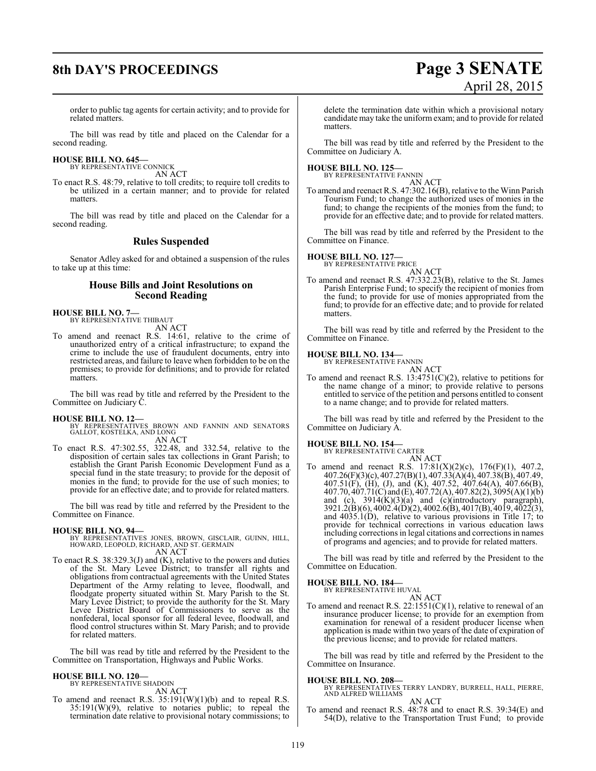# **8th DAY'S PROCEEDINGS Page 3 SENATE**

# April 28, 2015

order to public tag agents for certain activity; and to provide for related matters.

The bill was read by title and placed on the Calendar for a second reading.

# **HOUSE BILL NO. 645—** BY REPRESENTATIVE CONNICK

AN ACT

To enact R.S. 48:79, relative to toll credits; to require toll credits to be utilized in a certain manner; and to provide for related matters.

The bill was read by title and placed on the Calendar for a second reading.

#### **Rules Suspended**

Senator Adley asked for and obtained a suspension of the rules to take up at this time:

#### **House Bills and Joint Resolutions on Second Reading**

**HOUSE BILL NO. 7—** BY REPRESENTATIVE THIBAUT

AN ACT

To amend and reenact R.S. 14:61, relative to the crime of unauthorized entry of a critical infrastructure; to expand the crime to include the use of fraudulent documents, entry into restricted areas, and failure to leave when forbidden to be on the premises; to provide for definitions; and to provide for related matters.

The bill was read by title and referred by the President to the Committee on Judiciary C.

#### **HOUSE BILL NO. 12—**

- BY REPRESENTATIVES BROWN AND FANNIN AND SENATORS GALLOT, KOSTELKA, AND LONG AN ACT
- To enact R.S. 47:302.55, 322.48, and 332.54, relative to the disposition of certain sales tax collections in Grant Parish; to establish the Grant Parish Economic Development Fund as a special fund in the state treasury; to provide for the deposit of monies in the fund; to provide for the use of such monies; to provide for an effective date; and to provide for related matters.

The bill was read by title and referred by the President to the Committee on Finance.

#### **HOUSE BILL NO. 94—**

BY REPRESENTATIVES JONES, BROWN, GISCLAIR, GUINN, HILL, HOWARD, LEOPOLD, RICHARD, AND ST. GERMAIN

- AN ACT
- To enact R.S. 38:329.3(J) and (K), relative to the powers and duties of the St. Mary Levee District; to transfer all rights and obligations from contractual agreements with the United States Department of the Army relating to levee, floodwall, and floodgate property situated within St. Mary Parish to the St. Mary Levee District; to provide the authority for the St. Mary Levee District Board of Commissioners to serve as the nonfederal, local sponsor for all federal levee, floodwall, and flood control structures within St. Mary Parish; and to provide for related matters.

The bill was read by title and referred by the President to the Committee on Transportation, Highways and Public Works.

#### **HOUSE BILL NO. 120—**

BY REPRESENTATIVE SHADOIN AN ACT

To amend and reenact R.S.  $35:191(W)(1)(b)$  and to repeal R.S. 35:191(W)(9), relative to notaries public; to repeal the termination date relative to provisional notary commissions; to

delete the termination date within which a provisional notary candidate may take the uniform exam; and to provide for related matters.

The bill was read by title and referred by the President to the Committee on Judiciary A.

#### **HOUSE BILL NO. 125—**

BY REPRESENTATIVE FANNIN AN ACT

To amend and reenact R.S. 47:302.16(B), relative to the Winn Parish Tourism Fund; to change the authorized uses of monies in the fund; to change the recipients of the monies from the fund; to provide for an effective date; and to provide for related matters.

The bill was read by title and referred by the President to the Committee on Finance.

#### **HOUSE BILL NO. 127—**

BY REPRESENTATIVE PRICE

#### AN ACT

To amend and reenact R.S. 47:332.23(B), relative to the St. James Parish Enterprise Fund; to specify the recipient of monies from the fund; to provide for use of monies appropriated from the fund; to provide for an effective date; and to provide for related matters.

The bill was read by title and referred by the President to the Committee on Finance.

#### **HOUSE BILL NO. 134—**

BY REPRESENTATIVE FANNIN AN ACT

To amend and reenact R.S.  $13:4751(C)(2)$ , relative to petitions for the name change of a minor; to provide relative to persons entitled to service of the petition and persons entitled to consent to a name change; and to provide for related matters.

The bill was read by title and referred by the President to the Committee on Judiciary A.

### **HOUSE BILL NO. 154—**

BY REPRESENTATIVE CARTER AN ACT

To amend and reenact R.S. 17:81(X)(2)(c), 176(F)(1), 407.2, 407.26(F)(3)(c), 407.27(B)(1), 407.33(A)(4), 407.38(B), 407.49, 407.51(F), (H), (J), and (K), 407.52, 407.64(A), 407.66(B), 407.70, 407.71(C) and (E), 407.72(A), 407.82(2), 3095(A)(1)(b) and (c),  $3914(K)(3)(a)$  and (c)(introductory paragraph), 3921.2(B)(6), 4002.4(D)(2), 4002.6(B), 4017(B), 4019, 4022(3), and 4035.1(D), relative to various provisions in Title 17; to provide for technical corrections in various education laws including corrections in legal citations and corrections in names of programs and agencies; and to provide for related matters.

The bill was read by title and referred by the President to the Committee on Education.

**HOUSE BILL NO. 184—** BY REPRESENTATIVE HUVAL AN ACT

To amend and reenact R.S.  $22:1551(C)(1)$ , relative to renewal of an insurance producer license; to provide for an exemption from examination for renewal of a resident producer license when application is made within two years of the date of expiration of the previous license; and to provide for related matters.

The bill was read by title and referred by the President to the Committee on Insurance.

**HOUSE BILL NO. 208—** BY REPRESENTATIVES TERRY LANDRY, BURRELL, HALL, PIERRE, AND ALFRED WILLIAMS

AN ACT

To amend and reenact R.S. 48:78 and to enact R.S. 39:34(E) and 54(D), relative to the Transportation Trust Fund; to provide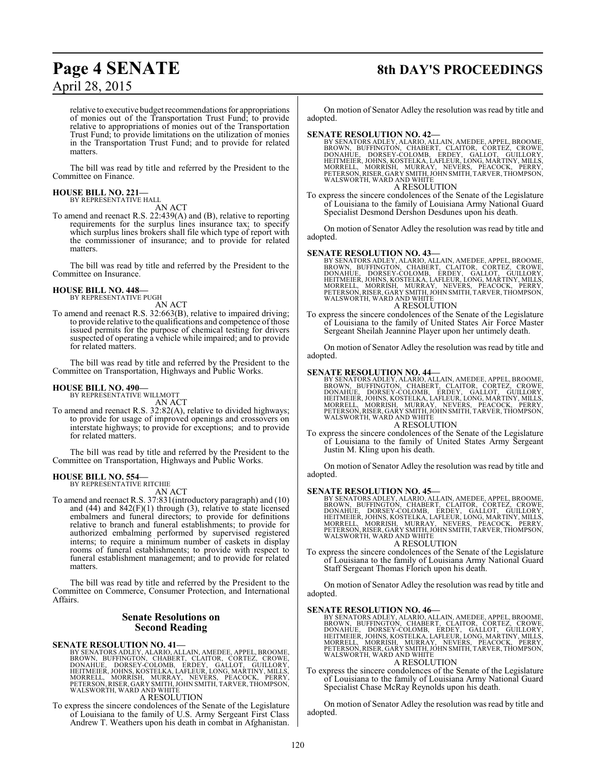# **Page 4 SENATE 8th DAY'S PROCEEDINGS**

relative to executive budget recommendations for appropriations of monies out of the Transportation Trust Fund; to provide relative to appropriations of monies out of the Transportation Trust Fund; to provide limitations on the utilization of monies in the Transportation Trust Fund; and to provide for related matters.

The bill was read by title and referred by the President to the Committee on Finance.

#### **HOUSE BILL NO. 221—** BY REPRESENTATIVE HALL

AN ACT

To amend and reenact R.S. 22:439(A) and (B), relative to reporting requirements for the surplus lines insurance tax; to specify which surplus lines brokers shall file which type of report with the commissioner of insurance; and to provide for related matters.

The bill was read by title and referred by the President to the Committee on Insurance.

#### **HOUSE BILL NO. 448—** BY REPRESENTATIVE PUGH

AN ACT

To amend and reenact R.S. 32:663(B), relative to impaired driving; to provide relative to the qualifications and competence of those issued permits for the purpose of chemical testing for drivers suspected of operating a vehicle while impaired; and to provide for related matters.

The bill was read by title and referred by the President to the Committee on Transportation, Highways and Public Works.

#### **HOUSE BILL NO. 490—**

BY REPRESENTATIVE WILLMOTT

AN ACT

To amend and reenact R.S. 32:82(A), relative to divided highways; to provide for usage of improved openings and crossovers on interstate highways; to provide for exceptions; and to provide for related matters.

The bill was read by title and referred by the President to the Committee on Transportation, Highways and Public Works.

#### **HOUSE BILL NO. 554—**

BY REPRESENTATIVE RITCHIE AN ACT

To amend and reenact R.S. 37:831(introductory paragraph) and (10) and  $(44)$  and  $842(F)(1)$  through  $(3)$ , relative to state licensed embalmers and funeral directors; to provide for definitions relative to branch and funeral establishments; to provide for authorized embalming performed by supervised registered interns; to require a minimum number of caskets in display rooms of funeral establishments; to provide with respect to funeral establishment management; and to provide for related matters.

The bill was read by title and referred by the President to the Committee on Commerce, Consumer Protection, and International Affairs.

#### **Senate Resolutions on Second Reading**

#### **SENATE RESOLUTION NO. 41—**

BY SENATORS ADLEY, ALARIO, ALLAIN, AMEDEE, APPEL, BROOME,<br>BROWN, BUFFINGTON, CHABERT, CLAITOR, CORTEZ, CROWE,<br>DONAHUE, DORSEY-COLOMB, ERDEY, GALLOT, GUILLORY,<br>HEITMEIER, JOHNS, KOSTELKA, LAFLEUR, LONG, MARTINY, MILLS,<br>MORR

### A RESOLUTION

To express the sincere condolences of the Senate of the Legislature of Louisiana to the family of U.S. Army Sergeant First Class Andrew T. Weathers upon his death in combat in Afghanistan.

On motion of Senator Adley the resolution was read by title and adopted.

#### **SENATE RESOLUTION NO. 42—**

BY SENATORS ADLEY, ALARIO, ALLAIN, AMEDEE, APPEL, BROOME,<br>BROWN, BUFFINGTON, CHABERT, CLAITOR, CORTEZ, CROWE,<br>DONAHUE, DORSEY-COLOMB, ERDEY, GALLOT, GUILLORY,<br>HEITMEIER, JOHNS, KOSTELKA, LAFLEUR, LONG, MARTINY, MILLS,<br>MORR

A RESOLUTION

To express the sincere condolences of the Senate of the Legislature of Louisiana to the family of Louisiana Army National Guard Specialist Desmond Dershon Desdunes upon his death.

On motion of Senator Adley the resolution was read by title and adopted.

**SENATE RESOLUTION NO. 43—**<br>BY SENATORS ADLEY, ALARIO, ALLAIN, AMEDEE, APPEL, BROOME, BROOM, UFFINGTON, CHABERT, CLAITOR, CORTEZ, CROWE,<br>DONAHUE, DORSEY-COLOMB, ERDEY, GALLOT, GUILLORY,<br>HEITMEIER, JOHNS, KOSTELKA, LAFLEUR, A RESOLUTION

#### To express the sincere condolences of the Senate of the Legislature of Louisiana to the family of United States Air Force Master Sergeant Sheilah Jeannine Player upon her untimely death.

On motion of Senator Adley the resolution was read by title and adopted.

#### **SENATE RESOLUTION NO. 44—**

BY SENATORS ADLEY, ALARIO, ALLAIN, AMEDEE, APPEL, BROOME,<br>BROWN, BUFFINGTON, CHABERT, CLAITOR, CORTEZ, CROWE,<br>DONAHUE, DORSEY-COLOMB, ERDEY, GALLOT, GUILLORY,<br>HEITMEIER, JOHNS, KOSTELKA, LAFLEUR, LONG, MARTINY, MILLS,<br>MORR A RESOLUTION

To express the sincere condolences of the Senate of the Legislature of Louisiana to the family of United States Army Sergeant Justin M. Kling upon his death.

On motion of Senator Adley the resolution was read by title and adopted.

#### **SENATE RESOLUTION NO. 45—**

BY SENATORS ADLEY, ALARIO, ALLAIN, AMEDEE, APPEL, BROOME,<br>BROWN, BUFFINGTON, CHABERT, CLAITOR, CORTEZ, CROWE,<br>DONAHUE, DORSEY-COLOMB, ERDEY, GALLOT, GUILLORY,<br>HEITMEIER, JOHNS, KOSTELKA, LAFLEUR, LONG, MARTINY, MILLS,<br>MORR WALSWORTH, WARD AND WHITE A RESOLUTION

To express the sincere condolences of the Senate of the Legislature of Louisiana to the family of Louisiana Army National Guard Staff Sergeant Thomas Florich upon his death.

On motion of Senator Adley the resolution was read by title and adopted.

SENATE RESOLUTION NO. 46—<br>BY SENATORS ADLEY, ALARIO, ALLAIN, AMEDEE, APPEL, BROOME, BROWN, BUFFINGTON, CHABERT, CLAITOR, CORTEZ, CROWE,<br>DONAHUE, DORSEY-COLOMB, ERDEY, GALLOT, GUILLORY,<br>HEITMEIER, JOHNS, KOSTELKA, LAFLEUR,

#### A RESOLUTION

To express the sincere condolences of the Senate of the Legislature of Louisiana to the family of Louisiana Army National Guard Specialist Chase McRay Reynolds upon his death.

On motion of Senator Adley the resolution was read by title and adopted.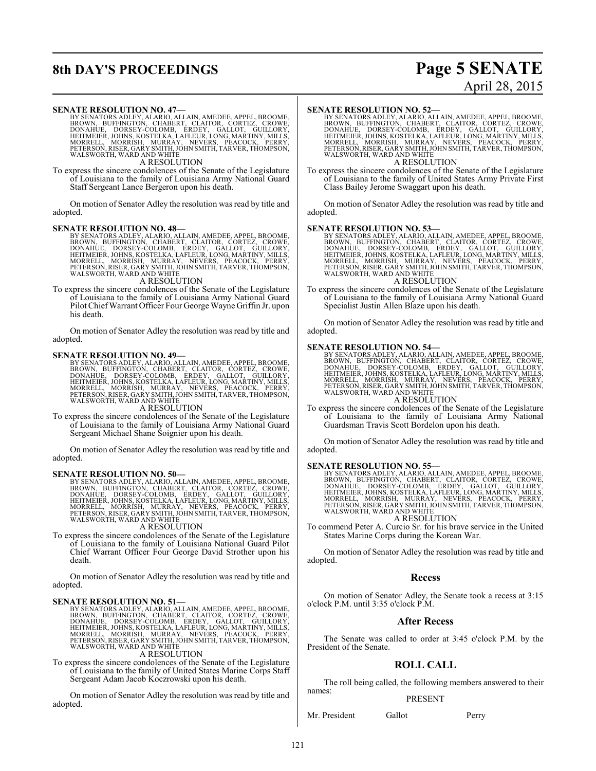# **8th DAY'S PROCEEDINGS Page 5 SENATE**

# April 28, 2015

#### **SENATE RESOLUTION NO. 47—**

BY SENATORS ADLEY, ALARIO, ALLAIN, AMEDEE, APPEL, BROOME,<br>BROWN, BUFFINGTON, CHABERT, CLAITOR, CORTEZ, CROWE,<br>DONAHUE, DORSEY-COLOMB, ERDEY, GALLOT, GUILLORY,<br>HEITMEIER, JOHNS, KOSTELKA, LAFLEUR, LONG, MARTINY, MILLS,<br>MORR A RESOLUTION

To express the sincere condolences of the Senate of the Legislature of Louisiana to the family of Louisiana Army National Guard Staff Sergeant Lance Bergeron upon his death.

On motion of Senator Adley the resolution was read by title and adopted.

**SENATE RESOLUTION NO. 48—**<br>BY SENATORS ADLEY, ALARIO, ALLAIN, AMEDEE, APPEL, BROOME, BROWN, BUFFINGTON, CHABERT, CLAITOR, CORTEZ, CROWE,<br>DONAHUE, DORSEY-COLOMB, ERDEY, GALLOT, GUILLORY,<br>HEITMEIER, JOHNS, KOSTELKA, LAFLEUR

## A RESOLUTION

To express the sincere condolences of the Senate of the Legislature of Louisiana to the family of Louisiana Army National Guard Pilot ChiefWarrant Officer Four George Wayne Griffin Jr. upon his death.

On motion of Senator Adley the resolution was read by title and adopted.

**SENATE RESOLUTION NO. 49—**<br>BY SENATORS ADLEY, ALARIO, ALLAIN, AMEDEE, APPEL, BROOME, BROOM, BOFFINGTON, CHABERT, CLAITOR, CORTEZ, CROWE,<br>DONAHUE, DORSEY-COLOMB, ERDEY, GALLOT, GUILLORY,<br>HEITMEIER, JOHNS, KOSTELKA, LAFLEUR

A RESOLUTION

To express the sincere condolences of the Senate of the Legislature of Louisiana to the family of Louisiana Army National Guard Sergeant Michael Shane Soignier upon his death.

On motion of Senator Adley the resolution was read by title and adopted.

#### **SENATE RESOLUTION NO. 50—**

BY SENATORS ADLEY, ALARIO, ALLAIN, AMEDEE, APPEL, BROOME,<br>BROWN, BUFFINGTON, CHABERT, CLAITOR, CORTEZ, CROWE,<br>DONAHUE, DORSEY-COLOMB, ERDEY, GALLOT, GUILLORY,<br>HEITMEIER, JOHNS, KOSTELKA, LAFLEUR, LONG, MARTINY, MILLS,<br>MORR A RESOLUTION

To express the sincere condolences of the Senate of the Legislature of Louisiana to the family of Louisiana National Guard Pilot Chief Warrant Officer Four George David Strother upon his death.

On motion of Senator Adley the resolution was read by title and adopted.

#### **SENATE RESOLUTION NO. 51—**

BY SENATORS ADLEY, ALARIO, ALLAIN, AMEDEE, APPEL, BROOME,<br>BROWN, BUFFINGTON, CHABERT, CLAITOR, CORTEZ, CROWE,<br>DONAHUE, DORSEY-COLOMB, ERDEY, GALLOT, GUILLORY,<br>HEITMEIER, JOHNS, KOSTELKA, LAFLEUR, LONG, MARTINY, MILLS,<br>MORR WALSWORTH, WARD AND WHITE A RESOLUTION

To express the sincere condolences of the Senate of the Legislature of Louisiana to the family of United States Marine Corps Staff Sergeant Adam Jacob Koczrowski upon his death.

On motion of Senator Adley the resolution was read by title and adopted.

#### **SENATE RESOLUTION NO. 52—**

BY SENATORS ADLEY, ALARIO, ALLAIN, AMEDEE, APPEL, BROOME,<br>BROWN, BUFFINGTON, CHABERT, CLAITOR, CORTEZ, CROWE,<br>DONAHUE, DORSEY-COLOMB, ERDEY, GALLOT, GUILLORY,<br>HEITMEIER, JOHNS, KOSTELKA, LAFLEUR, LONG, MARTINY, MILLS,<br>MORR A RESOLUTION

To express the sincere condolences of the Senate of the Legislature of Louisiana to the family of United States Army Private First Class Bailey Jerome Swaggart upon his death.

On motion of Senator Adley the resolution was read by title and adopted.

#### **SENATE RESOLUTION NO. 53—**

BY SENATORS ADLEY, ALARIO, ALLAIN, AMEDEE, APPEL, BROOME,<br>BROWN, BUFFINGTON, CHABERT, CLAITOR, CORTEZ, CROWE,<br>DONAHUE, DORSEY-COLOMB, ERDEY, GALLOT, GUILLORY,<br>HEITMEIER, JOHNS, KOSTELKA, LAFLEUR, LONG, MARTINY, MILLS,<br>MORR

A RESOLUTION

To express the sincere condolences of the Senate of the Legislature of Louisiana to the family of Louisiana Army National Guard Specialist Justin Allen Blaze upon his death.

On motion of Senator Adley the resolution was read by title and adopted.

#### **SENATE RESOLUTION NO. 54—**

BY SENATORS ADLEY, ALARIO, ALLAIN, AMEDEE, APPEL, BROOME,<br>BROWN, BUFFINGTON, CHABERT, CLAITOR, CORTEZ, CROWE,<br>DONAHUE, DORSEY-COLOMB, ERDEY, GALLOT, GUILLORY,<br>HEITMEIER, JOHNS, KOSTELKA, LAFLEUR, LONG, MARTINY, MILLS,<br>MORR WALSWORTH, WARD AND WHITE

#### A RESOLUTION

To express the sincere condolences of the Senate of the Legislature of Louisiana to the family of Louisiana Army National Guardsman Travis Scott Bordelon upon his death.

On motion of Senator Adley the resolution was read by title and adopted.

SENATE RESOLUTION NO. 55—<br>BY SENATORS ADLEY, ALARIO, ALLAIN, AMEDEE, APPEL, BROOME, BROOM, BUFFINGTON, CHABERT, CLAITOR, CORTEZ, CROWE,<br>DONAHUE, DORSEY-COLOMB, ERDEY, GALLOT, GUILLORY,<br>HEITMEIER, JOHNS, KOSTELKA, LAFLEUR, A RESOLUTION

To commend Peter A. Curcio Sr. for his brave service in the United States Marine Corps during the Korean War.

On motion of Senator Adley the resolution was read by title and adopted.

#### **Recess**

On motion of Senator Adley, the Senate took a recess at 3:15 o'clock P.M. until 3:35 o'clock P.M.

#### **After Recess**

The Senate was called to order at 3:45 o'clock P.M. by the President of the Senate.

## **ROLL CALL**

The roll being called, the following members answered to their names:

#### PRESENT

Mr. President Gallot Perry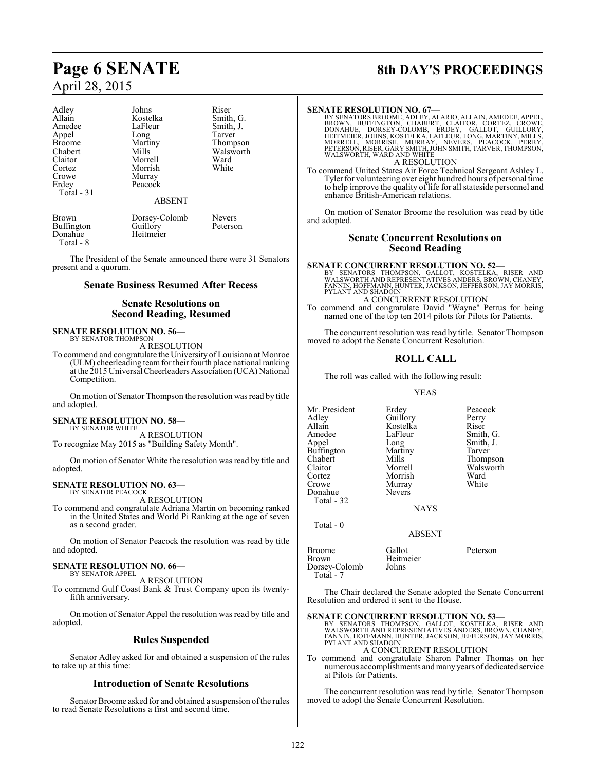| Adley             | Johns         | Riser     |
|-------------------|---------------|-----------|
| Allain            | Kostelka      | Smith, G. |
| Amedee            | LaFleur       | Smith, J. |
| Appel             | Long          | Tarver    |
| <b>Broome</b>     | Martiny       | Thompson  |
| Chabert           | Mills         | Walsworth |
| Claitor           | Morrell       | Ward      |
| Cortez            | Morrish       | White     |
| Crowe             | Murray        |           |
| Erdey             | Peacock       |           |
| Total - 31        |               |           |
|                   | <b>ABSENT</b> |           |
| Brown             | Dorsey-Colomb | Nevers    |
| <b>Buffington</b> | Guillory      | Peterson  |
| Donahue           | Heitmeier     |           |

Total - 8

The President of the Senate announced there were 31 Senators present and a quorum.

#### **Senate Business Resumed After Recess**

### **Senate Resolutions on Second Reading, Resumed**

# **SENATE RESOLUTION NO. 56—**<br>BY SENATOR THOMPSON

A RESOLUTION

To commend and congratulate the University of Louisiana at Monroe (ULM) cheerleading team for their fourth place national ranking at the 2015 Universal Cheerleaders Association (UCA) National Competition.

On motion of Senator Thompson the resolution was read by title and adopted.

#### **SENATE RESOLUTION NO. 58—**

BY SENATOR WHITE A RESOLUTION

To recognize May 2015 as "Building Safety Month".

On motion of Senator White the resolution was read by title and adopted.

#### **SENATE RESOLUTION NO. 63—** BY SENATOR PEACOCK

A RESOLUTION

To commend and congratulate Adriana Martin on becoming ranked in the United States and World Pi Ranking at the age of seven as a second grader.

On motion of Senator Peacock the resolution was read by title and adopted.

#### **SENATE RESOLUTION NO. 66—** BY SENATOR APPEL

A RESOLUTION

To commend Gulf Coast Bank & Trust Company upon its twentyfifth anniversary.

On motion of Senator Appel the resolution was read by title and adopted.

### **Rules Suspended**

Senator Adley asked for and obtained a suspension of the rules to take up at this time:

### **Introduction of Senate Resolutions**

Senator Broome asked for and obtained a suspension of the rules to read Senate Resolutions a first and second time.

# **Page 6 SENATE 8th DAY'S PROCEEDINGS**

#### **SENATE RESOLUTION NO. 67—**

BY SENATORS BROOME, ADLEY, ALARIO, ALLAIN, AMEDEE, APPEL,<br>BROWN, BUFFINGTON, CHABERT, CLAITOR, CORTEZ, CROWE,<br>DONAHUE, DORSEY-COLOMB, ERDEY, GALLOT, GUILLORY,<br>HEITMEIER, JOHNS, KOSTELKA, LAFLEUR, LONG, MARTINY, MILLS,<br>MORR A RESOLUTION

To commend United States Air Force Technical Sergeant Ashley L. Tyler for volunteering over eight hundred hours of personal time to help improve the quality of life for all stateside personnel and enhance British-American relations.

On motion of Senator Broome the resolution was read by title and adopted.

#### **Senate Concurrent Resolutions on Second Reading**

**SENATE CONCURRENT RESOLUTION NO. 52—**<br>BY SENATORS THOMPSON, GALLOT, KOSTELKA, RISER AND<br>WALSWORTH AND REPRESENTATIVES ANDERS, BROWN, CHANEY,<br>FANNIN, HOFFMANN, HUNTER, JACKSON, JEFFERSON, JAY MORRIS,<br>PYLANT AND SHADOIN

A CONCURRENT RESOLUTION To commend and congratulate David "Wayne" Petrus for being named one of the top ten 2014 pilots for Pilots for Patients.

The concurrent resolution was read by title. Senator Thompson moved to adopt the Senate Concurrent Resolution.

### **ROLL CALL**

The roll was called with the following result:

#### YEAS

Mr. President Erdey Peacock<br>Adley Guillory Perry Adley Guillory Perry<br>Allain Kostelka Riser Allain Kostelka<br>Amedee LaFleur Amedee LaFleur Smith, G.<br>Appel Long Smith, J. Buffington Martin<br>Chabert Mills Chabert Mills Thompson<br>Claitor Morrell Walsworth Claitor Morrell Walsworth Crowe Murray<br>Donahue Nevers Donahue Total - 32

Long Smith, J.<br>Martiny Tarver Morrish Ward<br>
Murray White

NAYS

ABSENT

Brown Heitmeier<br>Dorsev-Colomb Johns

Broome Gallot Peterson

Dorsey-Colomb Total - 7

Total - 0

The Chair declared the Senate adopted the Senate Concurrent Resolution and ordered it sent to the House.

#### **SENATE CONCURRENT RESOLUTION NO. 53—**

BY SENATORS THOMPSON, GALLOT, KOSTELKA, RISER AND<br>WALSWORTHAND REPRESENTATIVES ANDERS,BROWN,CHANEY,<br>FANNIN,HOFFMANN,HUNTER,JACKSON,JEFFERSON,JAYMORRIS,<br>PYLANT AND SHADOIN A CONCURRENT RESOLUTION

To commend and congratulate Sharon Palmer Thomas on her

numerous accomplishments and many years of dedicated service at Pilots for Patients.

The concurrent resolution was read by title. Senator Thompson moved to adopt the Senate Concurrent Resolution.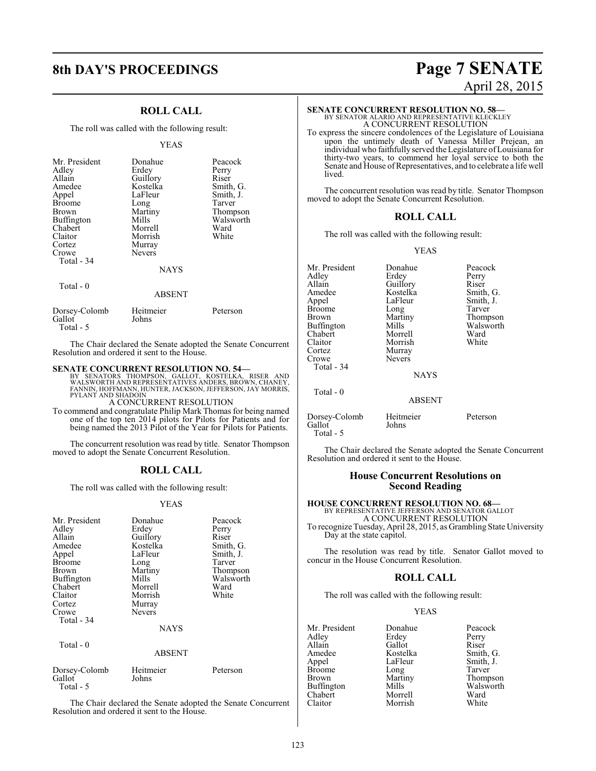# **8th DAY'S PROCEEDINGS Page 7 SENATE**

### **ROLL CALL**

The roll was called with the following result:

#### YEAS

| Mr. President<br>Adley | Donahue<br>Erdey | Peacock<br>Perry |
|------------------------|------------------|------------------|
| Allain                 | Guillory         | Riser            |
| Amedee                 | Kostelka         | Smith, G.        |
| Appel                  | LaFleur          | Smith, J.        |
| <b>Broome</b>          | Long             | Tarver           |
| Brown                  | Martiny          | Thompson         |
| Buffington             | Mills            | Walsworth        |
| Chabert                | Morrell          | Ward             |
| Claitor                | Morrish          | White            |
| Cortez                 | Murray           |                  |
| Crowe                  | <b>Nevers</b>    |                  |
| Total - 34             |                  |                  |
|                        | <b>NAYS</b>      |                  |
| Total - 0              | <b>ABSENT</b>    |                  |

| Dorsey-Colomb | Heitmeier | Peterson |
|---------------|-----------|----------|
| Gallot        | Johns     |          |
| Total - 5     |           |          |

The Chair declared the Senate adopted the Senate Concurrent Resolution and ordered it sent to the House.

#### **SENATE CONCURRENT RESOLUTION NO. 54—**

BY SENATORS THOMPSON, GALLOT, KOSTELKA, RISER AND<br>WALSWORTHAND REPRESENTATIVES ANDERS,BROWN,CHANEY,<br>FANNIN,HOFFMANN,HUNTER,JACKSON,JEFFERSON,JAY MORRIS,<br>PYLANT AND SHADOIN

#### A CONCURRENT RESOLUTION

To commend and congratulate Philip Mark Thomas for being named one of the top ten 2014 pilots for Pilots for Patients and for being named the 2013 Pilot of the Year for Pilots for Patients.

The concurrent resolution was read by title. Senator Thompson moved to adopt the Senate Concurrent Resolution.

#### **ROLL CALL**

The roll was called with the following result:

#### YEAS

| Mr. President           | Donahue            | Peacock   |
|-------------------------|--------------------|-----------|
| Adley                   | Erdey              | Perry     |
| Allain                  | Guillory           | Riser     |
| Amedee                  | Kostelka           | Smith, G. |
| Appel                   | LaFleur            | Smith, J. |
|                         |                    | Tarver    |
| Broome                  | Long               |           |
| Brown                   | Martiny            | Thompson  |
| Buffington              | Mills              | Walsworth |
| Chabert                 | Morrell            | Ward      |
| Claitor                 | Morrish            | White     |
| Cortez                  | Murray             |           |
| Crowe                   | <b>Nevers</b>      |           |
| Total - 34              |                    |           |
|                         | <b>NAYS</b>        |           |
| Total - 0               |                    |           |
|                         | <b>ABSENT</b>      |           |
| Dorsey-Colomb<br>Gallot | Heitmeier<br>Johns | Peterson  |
| Total - 5               |                    |           |

The Chair declared the Senate adopted the Senate Concurrent Resolution and ordered it sent to the House.

# April 28, 2015

## **SENATE CONCURRENT RESOLUTION NO. 58—**

BY SENATOR ALARIO AND REPRESENTATIVE KLECKLEY A CONCURRENT RESOLUTION

To express the sincere condolences of the Legislature of Louisiana upon the untimely death of Vanessa Miller Prejean, an individual who faithfully served theLegislature ofLouisiana for thirty-two years, to commend her loyal service to both the Senate and House of Representatives, and to celebrate a life well lived.

The concurrent resolution was read by title. Senator Thompson moved to adopt the Senate Concurrent Resolution.

#### **ROLL CALL**

The roll was called with the following result:

#### YEAS

| Mr. President<br>Adley<br>Allain<br>Amedee<br>Appel<br>Broome<br>Brown<br>Buffington<br>Chabert<br>Claitor<br>Cortez<br>Crowe<br>Total - 34 | Donahue<br>Erdey<br>Guillory<br>Kostelka<br>LaFleur<br>Long<br>Martiny<br>Mills<br>Morrell<br>Morrish<br>Murray<br>Nevers<br><b>NAYS</b> | Peacock<br>Perry<br>Riser<br>Smith, G.<br>Smith, J.<br>Tarver<br>Thompson<br>Walsworth<br>Ward<br>White |
|---------------------------------------------------------------------------------------------------------------------------------------------|------------------------------------------------------------------------------------------------------------------------------------------|---------------------------------------------------------------------------------------------------------|
| Total - 0                                                                                                                                   | <b>ABSENT</b>                                                                                                                            |                                                                                                         |
| Dorsey-Colomb<br>Gallot<br>Total - 5                                                                                                        | Heitmeier<br>Johns                                                                                                                       | Peterson                                                                                                |

The Chair declared the Senate adopted the Senate Concurrent Resolution and ordered it sent to the House.

#### **House Concurrent Resolutions on Second Reading**

## **HOUSE CONCURRENT RESOLUTION NO. 68—** BY REPRESENTATIVE JEFFERSON AND SENATOR GALLOT

A CONCURRENT RESOLUTION To recognize Tuesday, April 28, 2015, as Grambling State University Day at the state capitol.

The resolution was read by title. Senator Gallot moved to concur in the House Concurrent Resolution.

#### **ROLL CALL**

The roll was called with the following result:

Morrish

#### YEAS

Mr. President Donahue Peacock<br>Adley Erdey Perry Adley Erdey Perry<br>Allain Gallot Riser Allain Gallot<br>Amedee Kostelka Amedee Kostelka Smith, G.<br>Appel LaFleur Smith, J. Broome Long<br>Brown Martiny Brown Martiny Thompson<br>Buffington Mills Walsworth Buffington Mills Walsworth<br>Chabert Morrell Ward Chabert Morrell Ward

LaFleur Smith, J.<br>
Long Tarver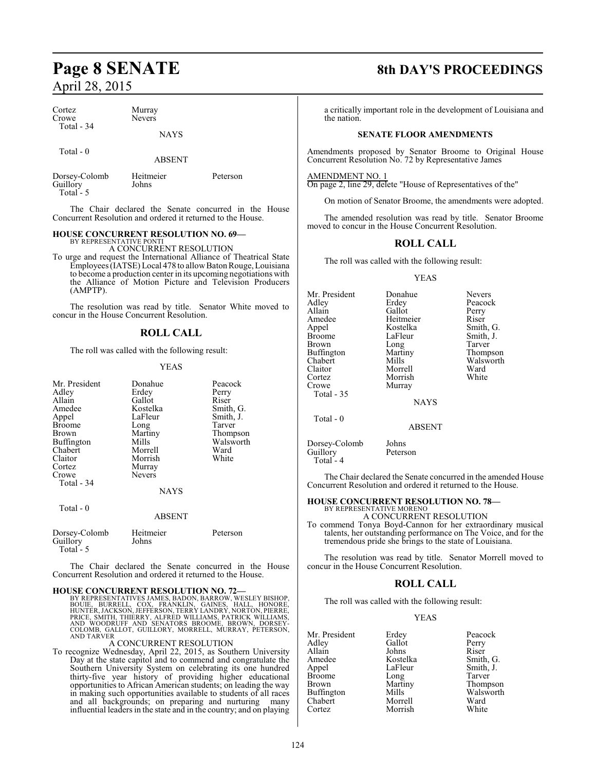Guillory Total - 5

| Cortez<br>Crowe           | Murray<br><b>Nevers</b> |          |
|---------------------------|-------------------------|----------|
| Total - 34                | <b>NAYS</b>             |          |
| Total $-0$                | <b>ABSENT</b>           |          |
| Dorsey-Colomb<br>Guillory | Heitmeier<br>Johns      | Peterson |

The Chair declared the Senate concurred in the House Concurrent Resolution and ordered it returned to the House.

#### **HOUSE CONCURRENT RESOLUTION NO. 69—** BY REPRESENTATIVE PONTI

A CONCURRENT RESOLUTION

To urge and request the International Alliance of Theatrical State Employees (IATSE) Local 478 to allowBatonRouge, Louisiana to become a production center in its upcoming negotiations with the Alliance of Motion Picture and Television Producers (AMPTP).

The resolution was read by title. Senator White moved to concur in the House Concurrent Resolution.

#### **ROLL CALL**

The roll was called with the following result:

#### YEAS

| Mr. President<br>Adley<br>Allain<br>Amedee | Donahue<br>Erdey<br>Gallot<br>Kostelka | Peacock<br>Perry<br>Riser<br>Smith, G. |
|--------------------------------------------|----------------------------------------|----------------------------------------|
| Appel<br>Broome                            | LaFleur<br>Long                        | Smith, J.<br>Tarver                    |
| Brown                                      | Martiny                                | Thompson                               |
| <b>Buffington</b>                          | Mills                                  | Walsworth                              |
| Chabert<br>Claitor                         | Morrell<br>Morrish                     | Ward<br>White                          |
| Cortez                                     | Murray                                 |                                        |
| Crowe                                      | <b>Nevers</b>                          |                                        |
| Total - 34                                 | NAYS                                   |                                        |
| Total - 0                                  | <b>ABSENT</b>                          |                                        |
| Dorsey-Colomb<br>Guillory<br>Total - 5     | Heitmeier<br>Johns                     | Peterson                               |

The Chair declared the Senate concurred in the House Concurrent Resolution and ordered it returned to the House.

**HOUSE CONCURRENT RESOLUTION NO. 72—**<br>BY REPRESENTATIVES JAMES, BADON, BARROW, WESLEY BISHOP, BOUIE, BURRELL, COX, FRANKLIN, GAINES, HALL, HONORE,<br>HUNTER, JACKSON, JEFFERSON, TERRY LANDEY, NORTON, PIERRE,<br>PRICE, SMITH, THI

#### A CONCURRENT RESOLUTION

To recognize Wednesday, April 22, 2015, as Southern University Day at the state capitol and to commend and congratulate the Southern University System on celebrating its one hundred thirty-five year history of providing higher educational opportunities to African American students; on leading the way in making such opportunities available to students of all races and all backgrounds; on preparing and nurturing many influential leaders in the state and in the country; and on playing

# **Page 8 SENATE 8th DAY'S PROCEEDINGS**

a critically important role in the development of Louisiana and the nation.

#### **SENATE FLOOR AMENDMENTS**

Amendments proposed by Senator Broome to Original House Concurrent Resolution No. 72 by Representative James

AMENDMENT NO. 1

Guillory Total - 4

On page 2, line 29, delete "House of Representatives of the"

On motion of Senator Broome, the amendments were adopted.

The amended resolution was read by title. Senator Broome moved to concur in the House Concurrent Resolution.

#### **ROLL CALL**

The roll was called with the following result:

#### YEAS

| Mr. President     | Donahue       | <b>Nevers</b> |
|-------------------|---------------|---------------|
| Adley             | Erdey         | Peacock       |
| Allain            | Gallot        | Perry         |
| Amedee            | Heitmeier     | Riser         |
| Appel             | Kostelka      | Smith, G.     |
| <b>Broome</b>     | LaFleur       | Smith, J.     |
| Brown             | Long          | Tarver        |
| <b>Buffington</b> | Martiny       | Thompson      |
| Chabert           | Mills         | Walsworth     |
| Claitor           | Morrell       | Ward          |
| Cortez            | Morrish       | White         |
| Crowe             | Murray        |               |
| Total - 35        |               |               |
|                   | <b>NAYS</b>   |               |
| Total $-0$        |               |               |
|                   | <b>ABSENT</b> |               |
| Dorsey-Colomb     | Johns         |               |
| Guillory          | Peterson      |               |

The Chair declared the Senate concurred in the amended House Concurrent Resolution and ordered it returned to the House.

#### **HOUSE CONCURRENT RESOLUTION NO. 78—**

BY REPRESENTATIVE MORENO A CONCURRENT RESOLUTION

To commend Tonya Boyd-Cannon for her extraordinary musical talents, her outstanding performance on The Voice, and for the tremendous pride she brings to the state of Louisiana.

The resolution was read by title. Senator Morrell moved to concur in the House Concurrent Resolution.

### **ROLL CALL**

The roll was called with the following result:

#### YEAS

| Mr. President | Erdey    | Peacock   |
|---------------|----------|-----------|
| Adley         | Gallot   | Perry     |
| Allain        | Johns    | Riser     |
| Amedee        | Kostelka | Smith, G. |
| Appel         | LaFleur  | Smith, J. |
| <b>Broome</b> | Long     | Tarver    |
| <b>Brown</b>  | Martiny  | Thompson  |
| Buffington    | Mills    | Walsworth |
| Chabert       | Morrell  | Ward      |
| Cortez        | Morrish  | White     |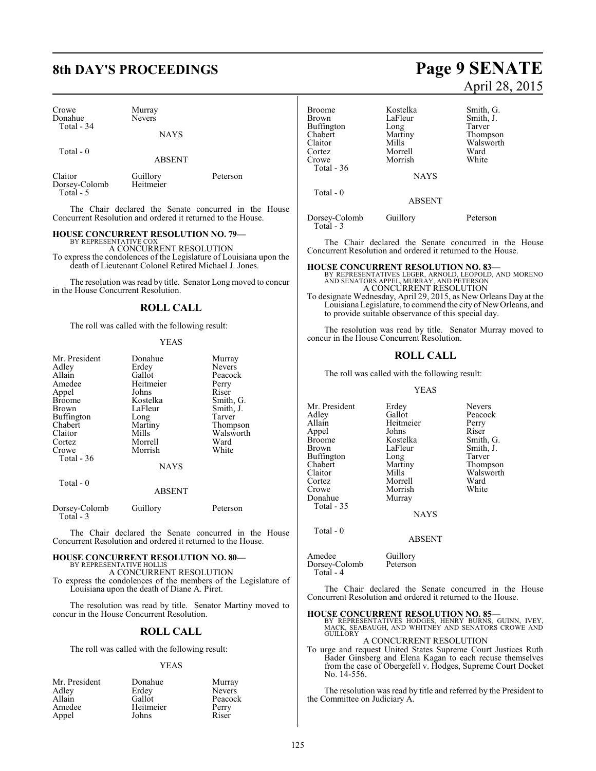# **8th DAY'S PROCEEDINGS Page 9 SENATE**

| Crowe      | Murray        |
|------------|---------------|
| Donahue    | <b>Nevers</b> |
| Total - 34 |               |

Total - 0

ABSENT

**NAYS** 

Claitor Guillory Peterson<br>Dorsey-Colomb Heitmeier Dorsey-Colomb Total - 5

The Chair declared the Senate concurred in the House Concurrent Resolution and ordered it returned to the House.

#### **HOUSE CONCURRENT RESOLUTION NO. 79—** BY REPRESENTATIVE COX

A CONCURRENT RESOLUTION To express the condolences of the Legislature of Louisiana upon the death of Lieutenant Colonel Retired Michael J. Jones.

The resolution was read by title. Senator Long moved to concur

in the House Concurrent Resolution.

### **ROLL CALL**

The roll was called with the following result:

#### YEAS

| Mr. President<br>Adley<br>Allain<br>Amedee<br>Appel<br>Broome<br>Brown<br>Buffington<br>Chabert<br>Claitor<br>Cortez | Donahue<br>Erdey<br>Gallot<br>Heitmeier<br>Johns<br>Kostelka<br>LaFleur<br>Long<br>Martiny<br>Mills<br>Morrell | Murray<br><b>Nevers</b><br>Peacock<br>Perry<br>Riser<br>Smith, G.<br>Smith, J.<br>Tarver<br>Thompson<br>Walsworth<br>Ward |
|----------------------------------------------------------------------------------------------------------------------|----------------------------------------------------------------------------------------------------------------|---------------------------------------------------------------------------------------------------------------------------|
| Crowe<br>Total $-36$                                                                                                 | Morrish<br><b>NAYS</b>                                                                                         | White                                                                                                                     |
| Total - 0                                                                                                            | <b>ABSENT</b>                                                                                                  |                                                                                                                           |

| Dorsey-Colomb<br>Total - 3 | Guillory | Peterson |
|----------------------------|----------|----------|
|----------------------------|----------|----------|

The Chair declared the Senate concurred in the House Concurrent Resolution and ordered it returned to the House.

#### **HOUSE CONCURRENT RESOLUTION NO. 80—** BY REPRESENTATIVE HOLLIS

A CONCURRENT RESOLUTION To express the condolences of the members of the Legislature of Louisiana upon the death of Diane A. Piret.

The resolution was read by title. Senator Martiny moved to concur in the House Concurrent Resolution.

## **ROLL CALL**

The roll was called with the following result:

#### YEAS

| Mr. President | Donahue   | Murray        |
|---------------|-----------|---------------|
| Adley         | Erdey     | <b>Nevers</b> |
| Allain        | Gallot    | Peacock       |
| Amedee        | Heitmeier | Perry         |
| Appel         | Johns     | Riser         |

## Broome Kostelka Smith, G. LaFleur Smith, J.<br>Long Tarver Buffington Long<br>Chabert Martiny Chabert Martiny Thompson<br>Claitor Mills Walsworth

Cortez Morrell Ward Morrish **NAYS** 

ABSENT

Dorsey-Colomb Guillory Peterson

April 28, 2015

The Chair declared the Senate concurred in the House Concurrent Resolution and ordered it returned to the House.

#### **HOUSE CONCURRENT RESOLUTION NO. 83—**

Claitor Mills Walsworth<br>
Cortez Morrell Ward

BY REPRESENTATIVES LEGER, ARNOLD, LEOPOLD, AND MORENO AND SENATORS APPEL, MURRAY, AND PETERSON A CONCURRENT RESOLUTION

To designate Wednesday, April 29, 2015, as New Orleans Day at the Louisiana Legislature, to commend the city of NewOrleans, and to provide suitable observance of this special day.

The resolution was read by title. Senator Murray moved to concur in the House Concurrent Resolution.

### **ROLL CALL**

The roll was called with the following result:

#### YEAS

Mr. President Erdey Nevers<br>Adley Gallot Peacoc Adley Gallot Peacock<br>Allain Heitmeier Perry Appel Johns<br>Broome Kostelka Broome Kostelka Smith, G.<br>Brown LaFleur Smith, J. Buffington Long<br>Chabert Martiny Crowe Morrish<br>
Donahue Murray Donahue Total - 35

Total - 0

Total - 36

Total - 0

Total - 3

Morrell Ward<br>
Morrish White

Heitmeier Perry<br>
Johns Riser LaFleur Smith, J.<br>Long Tarver Chabert Martiny Thompson Claitor Mills Walsworth<br>
Cortez Morrell Ward

**NAYS** 

#### ABSENT

Amedee Guillory<br>Dorsey-Colomb Peterson Dorsey-Colomb Total - 4

The Chair declared the Senate concurred in the House Concurrent Resolution and ordered it returned to the House.

**HOUSE CONCURRENT RESOLUTION NO. 85—**<br>BY REPRESENTATIVES HODGES, HENRY BURNS, GUINN, IVEY,<br>MACK, SEABAUGH, AND WHITNEY AND SENATORS CROWE AND<br>GUILLORY

A CONCURRENT RESOLUTION To urge and request United States Supreme Court Justices Ruth Bader Ginsberg and Elena Kagan to each recuse themselves from the case of Obergefell v. Hodges, Supreme Court Docket No. 14-556.

The resolution was read by title and referred by the President to the Committee on Judiciary A.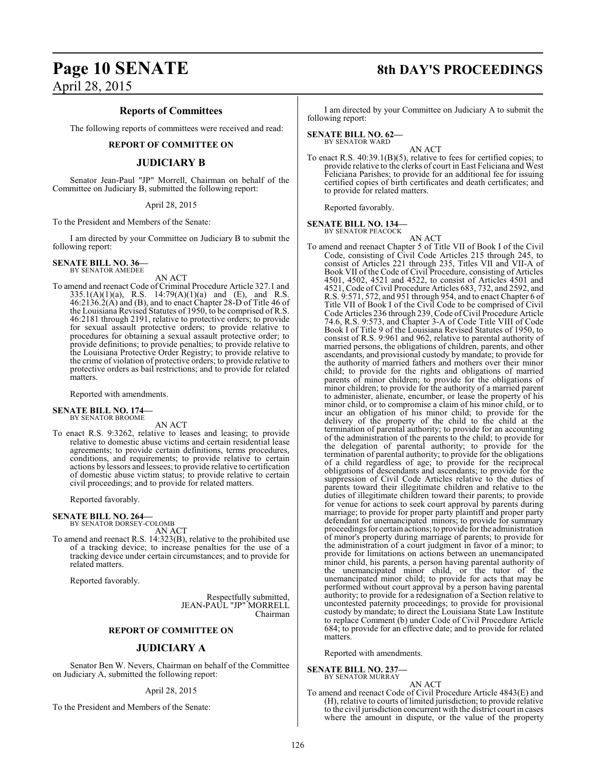#### **Reports of Committees**

The following reports of committees were received and read:

#### **REPORT OF COMMITTEE ON**

### **JUDICIARY B**

Senator Jean-Paul "JP" Morrell, Chairman on behalf of the Committee on Judiciary B, submitted the following report:

#### April 28, 2015

To the President and Members of the Senate:

I am directed by your Committee on Judiciary B to submit the following report:

**SENATE BILL NO. 36—** BY SENATOR AMEDEE

AN ACT

To amend and reenact Code of Criminal Procedure Article 327.1 and 335.1(A)(1)(a), R.S. 14:79(A)(1)(a) and (E), and R.S. 46:2136.2(A) and (B), and to enact Chapter 28-D of Title 46 of the Louisiana Revised Statutes of 1950, to be comprised of R.S. 46:2181 through 2191, relative to protective orders; to provide for sexual assault protective orders; to provide relative to procedures for obtaining a sexual assault protective order; to provide definitions; to provide penalties; to provide relative to the Louisiana Protective Order Registry; to provide relative to the crime of violation of protective orders; to provide relative to protective orders as bail restrictions; and to provide for related matters.

Reported with amendments.

**SENATE BILL NO. 174—** BY SENATOR BROOME

#### AN ACT

To enact R.S. 9:3262, relative to leases and leasing; to provide relative to domestic abuse victims and certain residential lease agreements; to provide certain definitions, terms procedures, conditions, and requirements; to provide relative to certain actions by lessors and lessees; to provide relative to certification of domestic abuse victim status; to provide relative to certain civil proceedings; and to provide for related matters.

Reported favorably.

#### **SENATE BILL NO. 264—**

BY SENATOR DORSEY-COLOMB

AN ACT To amend and reenact R.S. 14:323(B), relative to the prohibited use of a tracking device; to increase penalties for the use of a tracking device under certain circumstances; and to provide for related matters.

Reported favorably.

Respectfully submitted, JEAN-PAUL "JP" MORRELL Chairman

#### **REPORT OF COMMITTEE ON**

#### **JUDICIARY A**

Senator Ben W. Nevers, Chairman on behalf of the Committee on Judiciary A, submitted the following report:

#### April 28, 2015

To the President and Members of the Senate:

# **Page 10 SENATE 8th DAY'S PROCEEDINGS**

I am directed by your Committee on Judiciary A to submit the following report:

**SENATE BILL NO. 62—** BY SENATOR WARD

AN ACT

To enact R.S. 40:39.1(B)(5), relative to fees for certified copies; to provide relative to the clerks of court in East Feliciana and West Feliciana Parishes; to provide for an additional fee for issuing certified copies of birth certificates and death certificates; and to provide for related matters.

Reported favorably.

**SENATE BILL NO. 134—** BY SENATOR PEACOCK

AN ACT

To amend and reenact Chapter 5 of Title VII of Book I of the Civil Code, consisting of Civil Code Articles 215 through 245, to consist of Articles 221 through 235, Titles VII and VII-A of Book VII of the Code of Civil Procedure, consisting of Articles 4501, 4502, 4521 and 4522, to consist of Articles 4501 and 4521, Code of Civil Procedure Articles 683, 732, and 2592, and R.S. 9:571, 572, and 951 through 954, and to enact Chapter 6 of Title VII of Book I of the Civil Code to be comprised of Civil Code Articles 236 through 239, Code of Civil Procedure Article 74.6, R.S. 9:573, and Chapter 3-A of Code Title VIII of Code Book I of Title 9 of the Louisiana Revised Statutes of 1950, to consist of R.S. 9:961 and 962, relative to parental authority of married persons, the obligations of children, parents, and other ascendants, and provisional custody by mandate; to provide for the authority of married fathers and mothers over their minor child; to provide for the rights and obligations of married parents of minor children; to provide for the obligations of minor children; to provide for the authority of a married parent to administer, alienate, encumber, or lease the property of his minor child, or to compromise a claim of his minor child, or to incur an obligation of his minor child; to provide for the delivery of the property of the child to the child at the termination of parental authority; to provide for an accounting of the administration of the parents to the child; to provide for the delegation of parental authority; to provide for the termination of parental authority; to provide for the obligations of a child regardless of age; to provide for the reciprocal obligations of descendants and ascendants; to provide for the suppression of Civil Code Articles relative to the duties of parents toward their illegitimate children and relative to the duties of illegitimate children toward their parents; to provide for venue for actions to seek court approval by parents during marriage; to provide for proper party plaintiff and proper party defendant for unemancipated minors; to provide for summary proceedings for certain actions; to provide for the administration of minor's property during marriage of parents; to provide for the administration of a court judgment in favor of a minor; to provide for limitations on actions between an unemancipated minor child, his parents, a person having parental authority of the unemancipated minor child, or the tutor of the unemancipated minor child; to provide for acts that may be performed without court approval by a person having parental authority; to provide for a redesignation of a Section relative to uncontested paternity proceedings; to provide for provisional custody by mandate; to direct the Louisiana State Law Institute to replace Comment (b) under Code of Civil Procedure Article 684; to provide for an effective date; and to provide for related matters.

Reported with amendments.

#### **SENATE BILL NO. 237—**

BY SENATOR MURRAY AN ACT

To amend and reenact Code of Civil Procedure Article 4843(E) and (H), relative to courts of limited jurisdiction; to provide relative to the civil jurisdiction concurrent with the district court in cases where the amount in dispute, or the value of the property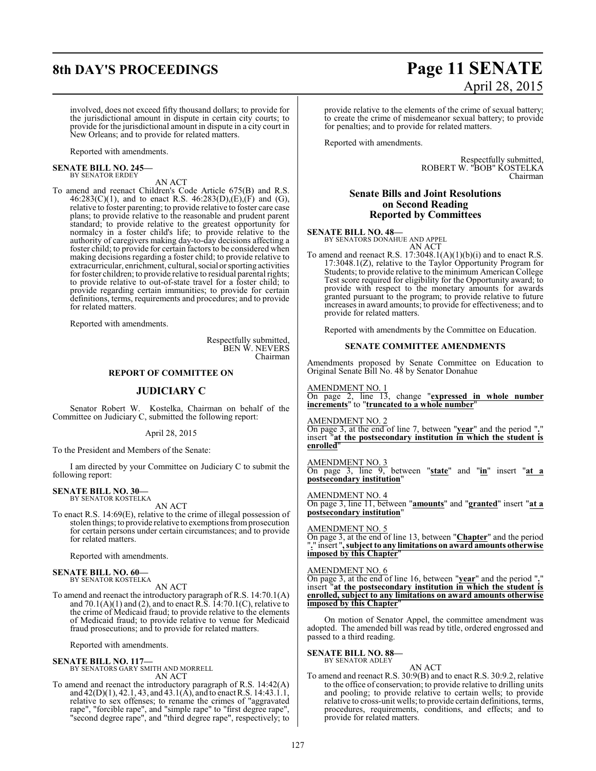# **8th DAY'S PROCEEDINGS Page 11 SENATE**

# April 28, 2015

involved, does not exceed fifty thousand dollars; to provide for the jurisdictional amount in dispute in certain city courts; to provide for the jurisdictional amount in dispute in a city court in New Orleans; and to provide for related matters.

Reported with amendments.

#### **SENATE BILL NO. 245—** BY SENATOR ERDEY

AN ACT

To amend and reenact Children's Code Article 675(B) and R.S.  $46:283(C)(1)$ , and to enact R.S.  $46:283(D),(E), (F)$  and  $(G),$ relative to foster parenting; to provide relative to foster care case plans; to provide relative to the reasonable and prudent parent standard; to provide relative to the greatest opportunity for normalcy in a foster child's life; to provide relative to the authority of caregivers making day-to-day decisions affecting a foster child; to provide for certain factors to be considered when making decisions regarding a foster child; to provide relative to extracurricular, enrichment, cultural, social or sporting activities for foster children; to provide relative to residual parental rights; to provide relative to out-of-state travel for a foster child; to provide regarding certain immunities; to provide for certain definitions, terms, requirements and procedures; and to provide for related matters.

Reported with amendments.

Respectfully submitted, BEN W. NEVERS Chairman

#### **REPORT OF COMMITTEE ON**

### **JUDICIARY C**

Senator Robert W. Kostelka, Chairman on behalf of the Committee on Judiciary C, submitted the following report:

April 28, 2015

To the President and Members of the Senate:

I am directed by your Committee on Judiciary C to submit the following report:

#### **SENATE BILL NO. 30—** BY SENATOR KOSTELKA

AN ACT

To enact R.S. 14:69(E), relative to the crime of illegal possession of stolen things; to provide relative to exemptions from prosecution for certain persons under certain circumstances; and to provide for related matters.

Reported with amendments.

#### **SENATE BILL NO. 60—** BY SENATOR KOSTELKA

AN ACT

To amend and reenact the introductory paragraph of R.S. 14:70.1(A) and  $70.1(A)(1)$  and (2), and to enact R.S.  $14:70.1(C)$ , relative to the crime of Medicaid fraud; to provide relative to the elements of Medicaid fraud; to provide relative to venue for Medicaid fraud prosecutions; and to provide for related matters.

Reported with amendments.

- **SENATE BILL NO. 117—** BY SENATORS GARY SMITH AND MORRELL AN ACT
- To amend and reenact the introductory paragraph of R.S. 14:42(A) and 42(D)(1), 42.1, 43, and 43.1(A), and to enact R.S. 14:43.1.1, relative to sex offenses; to rename the crimes of "aggravated rape", "forcible rape", and "simple rape" to "first degree rape", "second degree rape", and "third degree rape", respectively; to

provide relative to the elements of the crime of sexual battery; to create the crime of misdemeanor sexual battery; to provide for penalties; and to provide for related matters.

Reported with amendments.

Respectfully submitted, ROBERT W. "BOB" KOSTELKA Chairman

### **Senate Bills and Joint Resolutions on Second Reading Reported by Committees**

**SENATE BILL NO. 48—** BY SENATORS DONAHUE AND APPEL AN ACT

To amend and reenact R.S.  $17:3048.1(A)(1)(b)(i)$  and to enact R.S. 17:3048.1(Z), relative to the Taylor Opportunity Program for Students; to provide relative to the minimum American College Test score required for eligibility for the Opportunity award; to provide with respect to the monetary amounts for awards granted pursuant to the program; to provide relative to future increases in award amounts; to provide for effectiveness; and to provide for related matters.

Reported with amendments by the Committee on Education.

#### **SENATE COMMITTEE AMENDMENTS**

Amendments proposed by Senate Committee on Education to Original Senate Bill No. 48 by Senator Donahue

AMENDMENT NO. 1

On page 2, line 13, change "**expressed in whole number increments**" to "**truncated to a whole number**"

AMENDMENT NO. 2

On page 3, at the end of line 7, between "**year**" and the period "**.**" insert "**at the postsecondary institution in which the student is enrolled**"

AMENDMENT NO. 3 On page 3, line 9, between "**state**" and "**in**" insert "**at a postsecondary institution**"

AMENDMENT NO. 4 On page 3, line 11, between "**amounts**" and "**granted**" insert "**at a postsecondary institution**"

AMENDMENT NO. 5 On page 3, at the end of line 13, between "**Chapter**" and the period "**.**" insert "**, subject to any limitations on award amounts otherwise imposed by this Chapter**"

#### AMENDMENT NO. 6

On page 3, at the end of line 16, between "**year**" and the period "**.**" insert "**at the postsecondary institution in which the student is enrolled, subject to any limitations on award amounts otherwise imposed by this Chapter**"

On motion of Senator Appel, the committee amendment was adopted. The amended bill was read by title, ordered engrossed and passed to a third reading.

## **SENATE BILL NO. 88—** BY SENATOR ADLEY

AN ACT To amend and reenact R.S. 30:9(B) and to enact R.S. 30:9.2, relative to the office of conservation; to provide relative to drilling units and pooling; to provide relative to certain wells; to provide relative to cross-unit wells; to provide certain definitions, terms, procedures, requirements, conditions, and effects; and to provide for related matters.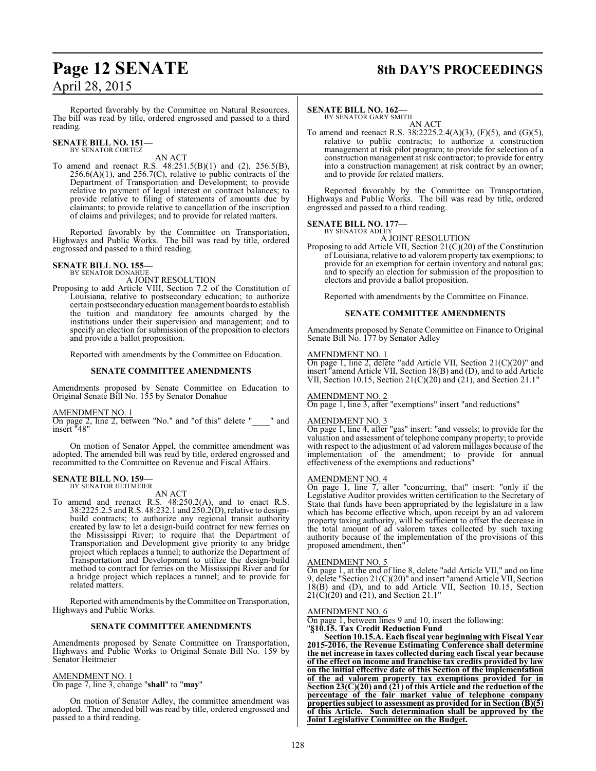# **Page 12 SENATE 8th DAY'S PROCEEDINGS**

Reported favorably by the Committee on Natural Resources. The bill was read by title, ordered engrossed and passed to a third reading.

#### **SENATE BILL NO. 151—** BY SENATOR CORTEZ

AN ACT

To amend and reenact R.S. 48:251.5(B)(1) and (2), 256.5(B),  $256.6(A)(1)$ , and  $256.7(C)$ , relative to public contracts of the Department of Transportation and Development; to provide relative to payment of legal interest on contract balances; to provide relative to filing of statements of amounts due by claimants; to provide relative to cancellation of the inscription of claims and privileges; and to provide for related matters.

Reported favorably by the Committee on Transportation, Highways and Public Works. The bill was read by title, ordered engrossed and passed to a third reading.

# **SENATE BILL NO. 155—** BY SENATOR DONAHUE

A JOINT RESOLUTION

Proposing to add Article VIII, Section 7.2 of the Constitution of Louisiana, relative to postsecondary education; to authorize certain postsecondaryeducation management boards to establish the tuition and mandatory fee amounts charged by the institutions under their supervision and management; and to specify an election for submission of the proposition to electors and provide a ballot proposition.

Reported with amendments by the Committee on Education.

#### **SENATE COMMITTEE AMENDMENTS**

Amendments proposed by Senate Committee on Education to Original Senate Bill No. 155 by Senator Donahue

#### AMENDMENT NO. 1

On page 2, line 2, between "No." and "of this" delete "\_\_\_\_" and insert "48"

On motion of Senator Appel, the committee amendment was adopted. The amended bill was read by title, ordered engrossed and recommitted to the Committee on Revenue and Fiscal Affairs.

# **SENATE BILL NO. 159—** BY SENATOR HEITMEIER

AN ACT

To amend and reenact R.S. 48:250.2(A), and to enact R.S. 38:2225.2.5 and R.S. 48:232.1 and 250.2(D), relative to designbuild contracts; to authorize any regional transit authority created by law to let a design-build contract for new ferries on the Mississippi River; to require that the Department of Transportation and Development give priority to any bridge project which replaces a tunnel; to authorize the Department of Transportation and Development to utilize the design-build method to contract for ferries on the Mississippi River and for a bridge project which replaces a tunnel; and to provide for related matters.

Reported with amendments by the Committee on Transportation, Highways and Public Works.

#### **SENATE COMMITTEE AMENDMENTS**

Amendments proposed by Senate Committee on Transportation, Highways and Public Works to Original Senate Bill No. 159 by Senator Heitmeier

#### AMENDMENT NO. 1

On page 7, line 3, change "**shall**" to "**may**"

On motion of Senator Adley, the committee amendment was adopted. The amended bill was read by title, ordered engrossed and passed to a third reading.

#### **SENATE BILL NO. 162—**

BY SENATOR GARY SMITH AN ACT

To amend and reenact R.S. 38:2225.2.4(A)(3), (F)(5), and (G)(5), relative to public contracts; to authorize a construction management at risk pilot program; to provide for selection of a construction management at risk contractor; to provide for entry into a construction management at risk contract by an owner; and to provide for related matters.

Reported favorably by the Committee on Transportation, Highways and Public Works. The bill was read by title, ordered engrossed and passed to a third reading.

# **SENATE BILL NO. 177—** BY SENATOR ADLEY

A JOINT RESOLUTION

Proposing to add Article VII, Section 21(C)(20) of the Constitution of Louisiana, relative to ad valorem property tax exemptions; to provide for an exemption for certain inventory and natural gas; and to specify an election for submission of the proposition to electors and provide a ballot proposition.

Reported with amendments by the Committee on Finance.

#### **SENATE COMMITTEE AMENDMENTS**

Amendments proposed by Senate Committee on Finance to Original Senate Bill No. 177 by Senator Adley

#### AMENDMENT NO. 1

On page 1, line 2, delete "add Article VII, Section 21(C)(20)" and insert "amend Article VII, Section 18(B) and (D), and to add Article VII, Section 10.15, Section  $21(C)(20)$  and  $(21)$ , and Section 21.1"

#### AMENDMENT NO. 2

On page 1, line 3, after "exemptions" insert "and reductions"

#### AMENDMENT NO. 3

On page 1, line 4, after "gas" insert: "and vessels; to provide for the valuation and assessment of telephone company property; to provide with respect to the adjustment of ad valorem millages because of the implementation of the amendment; to provide for annual effectiveness of the exemptions and reductions"

#### AMENDMENT NO. 4

On page 1, line 7, after "concurring, that" insert: "only if the Legislative Auditor provides written certification to the Secretary of State that funds have been appropriated by the legislature in a law which has become effective which, upon receipt by an ad valorem property taxing authority, will be sufficient to offset the decrease in the total amount of ad valorem taxes collected by such taxing authority because of the implementation of the provisions of this proposed amendment, then"

#### AMENDMENT NO. 5

On page 1, at the end of line 8, delete "add Article VII," and on line 9, delete "Section 21(C)(20)" and insert "amend Article VII, Section 18(B) and (D), and to add Article VII, Section 10.15, Section 21(C)(20) and (21), and Section 21.1"

#### AMENDMENT NO. 6

On page 1, between lines 9 and 10, insert the following: "**§10.15. Tax Credit Reduction Fund**

**Section 10.15.A. Each fiscal year beginning with Fiscal Year 2015-2016, the Revenue Estimating Conference shall determine the net increase in taxes collected during each fiscal year because of the effect on income and franchise tax credits provided by law on the initial effective date of this Section of the implementation of the ad valorem property tax exemptions provided for in Section 23(C)(20) and (21) of this Article and the reduction of the percentage of the fair market value of telephone company properties subject to assessment as provided for in Section (B)(5) of this Article. Such determination shall be approved by the Joint Legislative Committee on the Budget.**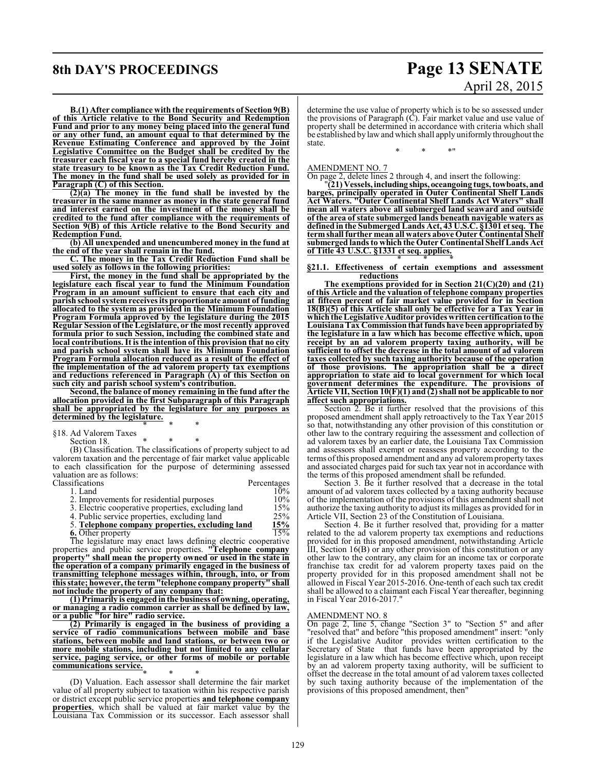# **8th DAY'S PROCEEDINGS Page 13 SENATE** April 28, 2015

**B.(1) After compliance with the requirements of Section 9(B) of this Article relative to the Bond Security and Redemption Fund and prior to any money being placed into the general fund or any other fund, an amount equal to that determined by the Revenue Estimating Conference and approved by the Joint Legislative Committee on the Budget shall be credited by the treasurer each fiscal year to a special fund hereby created in the state treasury to be known as the Tax Credit Reduction Fund. The money in the fund shall be used solely as provided for in Paragraph (C) of this Section.**

**(2)(a) The money in the fund shall be invested by the treasurer in the same manner as money in the state general fund and interest earned on the investment of the money shall be credited to the fund after compliance with the requirements of Section 9(B) of this Article relative to the Bond Security and Redemption Fund.**

**(b) All unexpended and unencumbered money in the fund at the end of the year shall remain in the fund.**

**C. The money in the Tax Credit Reduction Fund shall be used solely as follows in the following priorities:**

**First, the money in the fund shall be appropriated by the legislature each fiscal year to fund the Minimum Foundation Program in an amount sufficient to ensure that each city and parish school systemreceives its proportionate amount of funding allocated to the system as provided in the Minimum Foundation Program Formula approved by the legislature during the 2015 Regular Session of theLegislature, or the most recently approved formula prior to such Session, including the combined state and local contributions. It is the intention of this provision that no city and parish school system shall have its Minimum Foundation Program Formula allocation reduced as a result of the effect of the implementation of the ad valorem property tax exemptions and reductions referenced in Paragraph (A) of this Section on such city and parish school system's contribution.**

**Second, the balance of money remaining in the fund after the allocation provided in the first Subparagraph of this Paragraph shall be appropriated by the legislature for any purposes as determined by the legislature.**

\* \* \* §18. Ad Valorem Taxes

Section 18.

(B) Classification. The classifications of property subject to ad valorem taxation and the percentage of fair market value applicable to each classification for the purpose of determining assessed valuation are as follows:

| Classifications                                    | Percentages |
|----------------------------------------------------|-------------|
| 1. Land                                            | 10%         |
| 2. Improvements for residential purposes           | 10%         |
| 3. Electric cooperative properties, excluding land | 15%         |
| 4. Public service properties, excluding land       | 25%         |
| 5. Telephone company properties, excluding land    | 15%         |

**6.** Other property 15%

The legislature may enact laws defining electric cooperative properties and public service properties. **"Telephone company property" shall mean the property owned or used in the state in the operation of a company primarily engaged in the business of transmitting telephone messages within, through, into, or from this state; however, the term"telephone company property" shall not include the property of any company that:**

**(1) Primarily is engaged in the business of owning, operating, or managing a radio common carrier as shall be defined by law, or a public "for hire" radio service.**

**(2) Primarily is engaged in the business of providing a service of radio communications between mobile and base stations, between mobile and land stations, or between two or more mobile stations, including but not limited to any cellular service, paging service, or other forms of mobile or portable communications service.**

\* \* \* (D) Valuation. Each assessor shall determine the fair market value of all property subject to taxation within his respective parish or district except public service properties **and telephone company properties**, which shall be valued at fair market value by the Louisiana Tax Commission or its successor. Each assessor shall

determine the use value of property which is to be so assessed under the provisions of Paragraph  $(\dot{C})$ . Fair market value and use value of property shall be determined in accordance with criteria which shall be established by lawand which shall apply uniformly throughout the state.

\* \* \*"

AMENDMENT NO. 7

On page 2, delete lines 2 through 4, and insert the following:

"**(21) Vessels, including ships, oceangoing tugs, towboats, and barges, principally operated in Outer Continental Shelf Lands Act Waters. "Outer Continental Shelf Lands Act Waters" shall mean all waters above all submerged land seaward and outside of the area of state submerged lands beneath navigable waters as defined in the Submerged Lands Act, 43 U.S.C. §1301 et seq. The termshall further mean all waters above Outer Continental Shelf submerged lands to which the Outer Continental Shelf Lands Act of Title 43 U.S.C. §1331 et seq. applies.**

\* \* \* **§21.1. Effectiveness of certain exemptions and assessment reductions**

**The exemptions provided for in Section 21(C)(20) and (21) of this Article and the valuation of telephone company properties at fifteen percent of fair market value provided for in Section 18(B)(5) of this Article shall only be effective for a Tax Year in which the Legislative Auditor provides written certification to the LouisianaTax Commission that funds have been appropriated by the legislature in a law which has become effective which, upon receipt by an ad valorem property taxing authority, will be sufficient to offset the decrease in the total amount of ad valorem taxes collected by such taxing authority because of the operation of those provisions. The appropriation shall be a direct appropriation to state aid to local government for which local government determines the expenditure. The provisions of Article VII, Section 10(F)(1) and (2) shall not be applicable to nor affect such appropriations.**

Section 2. Be it further resolved that the provisions of this proposed amendment shall apply retroactively to the Tax Year 2015 so that, notwithstanding any other provision of this constitution or other law to the contrary requiring the assessment and collection of ad valorem taxes by an earlier date, the Louisiana Tax Commission and assessors shall exempt or reassess property according to the terms ofthis proposed amendment and any ad valoremproperty taxes and associated charges paid for such tax year not in accordance with the terms of this proposed amendment shall be refunded.

Section 3. Be it further resolved that a decrease in the total amount of ad valorem taxes collected by a taxing authority because of the implementation of the provisions of this amendment shall not authorize the taxing authority to adjust its millages as provided for in Article VII, Section 23 of the Constitution of Louisiana.

Section 4. Be it further resolved that, providing for a matter related to the ad valorem property tax exemptions and reductions provided for in this proposed amendment, notwithstanding Article III, Section  $16(B)$  or any other provision of this constitution or any other law to the contrary, any claim for an income tax or corporate franchise tax credit for ad valorem property taxes paid on the property provided for in this proposed amendment shall not be allowed in Fiscal Year 2015-2016. One-tenth of each such tax credit shall be allowed to a claimant each Fiscal Year thereafter, beginning in Fiscal Year 2016-2017."

#### AMENDMENT NO. 8

On page 2, line 5, change "Section 3" to "Section 5" and after "resolved that" and before "this proposed amendment" insert: "only if the Legislative Auditor provides written certification to the Secretary of State that funds have been appropriated by the legislature in a law which has become effective which, upon receipt by an ad valorem property taxing authority, will be sufficient to offset the decrease in the total amount of ad valorem taxes collected by such taxing authority because of the implementation of the provisions of this proposed amendment, then"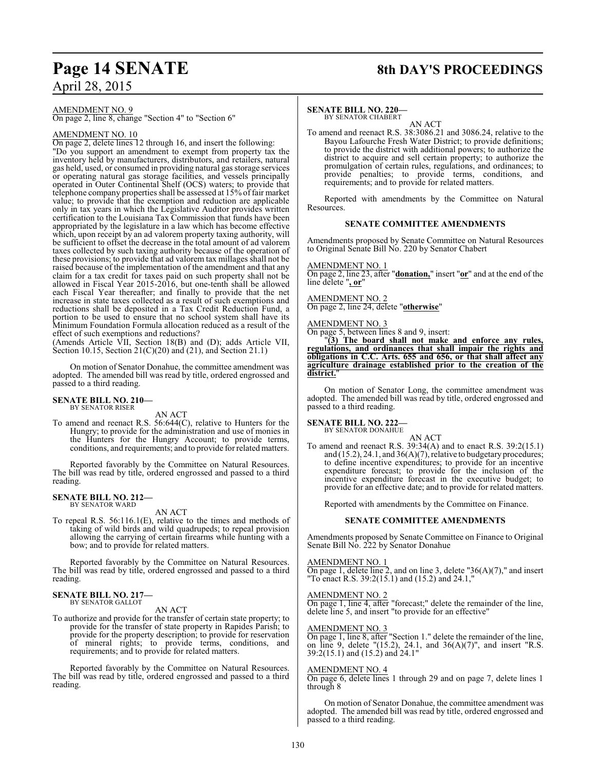# **Page 14 SENATE 8th DAY'S PROCEEDINGS**

AMENDMENT NO. 9

On page 2, line 8, change "Section 4" to "Section 6"

#### AMENDMENT NO. 10

On page 2, delete lines 12 through 16, and insert the following: "Do you support an amendment to exempt from property tax the inventory held by manufacturers, distributors, and retailers, natural gas held, used, or consumed in providing natural gas storage services or operating natural gas storage facilities, and vessels principally operated in Outer Continental Shelf (OCS) waters; to provide that telephone company properties shall be assessed at 15% offair market value; to provide that the exemption and reduction are applicable only in tax years in which the Legislative Auditor provides written certification to the Louisiana Tax Commission that funds have been appropriated by the legislature in a law which has become effective which, upon receipt by an ad valorem property taxing authority, will be sufficient to offset the decrease in the total amount of ad valorem taxes collected by such taxing authority because of the operation of these provisions; to provide that ad valorem tax millages shall not be raised because of the implementation of the amendment and that any claim for a tax credit for taxes paid on such property shall not be allowed in Fiscal Year 2015-2016, but one-tenth shall be allowed each Fiscal Year thereafter; and finally to provide that the net increase in state taxes collected as a result of such exemptions and reductions shall be deposited in a Tax Credit Reduction Fund, a portion to be used to ensure that no school system shall have its Minimum Foundation Formula allocation reduced as a result of the effect of such exemptions and reductions?

(Amends Article VII, Section 18(B) and (D); adds Article VII, Section 10.15, Section 21(C)(20) and (21), and Section 21.1)

On motion of Senator Donahue, the committee amendment was adopted. The amended bill was read by title, ordered engrossed and passed to a third reading.

#### **SENATE BILL NO. 210—** BY SENATOR RISER

AN ACT

To amend and reenact R.S. 56:644(C), relative to Hunters for the Hungry; to provide for the administration and use of monies in the Hunters for the Hungry Account; to provide terms, conditions, and requirements; and to provide forrelated matters.

Reported favorably by the Committee on Natural Resources. The bill was read by title, ordered engrossed and passed to a third reading.

#### **SENATE BILL NO. 212—** BY SENATOR WARD

AN ACT

To repeal R.S. 56:116.1(E), relative to the times and methods of taking of wild birds and wild quadrupeds; to repeal provision allowing the carrying of certain firearms while hunting with a bow; and to provide for related matters.

Reported favorably by the Committee on Natural Resources. The bill was read by title, ordered engrossed and passed to a third reading.

#### **SENATE BILL NO. 217—** BY SENATOR GALLOT

AN ACT

To authorize and provide for the transfer of certain state property; to provide for the transfer of state property in Rapides Parish; to provide for the property description; to provide for reservation of mineral rights; to provide terms, conditions, and requirements; and to provide for related matters.

Reported favorably by the Committee on Natural Resources. The bill was read by title, ordered engrossed and passed to a third reading.

#### **SENATE BILL NO. 220—**

BY SENATOR CHABERT AN ACT

To amend and reenact R.S. 38:3086.21 and 3086.24, relative to the Bayou Lafourche Fresh Water District; to provide definitions; to provide the district with additional powers; to authorize the district to acquire and sell certain property; to authorize the promulgation of certain rules, regulations, and ordinances; to provide penalties; to provide terms, conditions, and requirements; and to provide for related matters.

Reported with amendments by the Committee on Natural Resources.

#### **SENATE COMMITTEE AMENDMENTS**

Amendments proposed by Senate Committee on Natural Resources to Original Senate Bill No. 220 by Senator Chabert

#### AMENDMENT NO. 1

On page 2, line 23, after "**donation,**" insert "**or**" and at the end of the line delete "**, or**"

### AMENDMENT NO. 2

On page 2, line 24, delete "**otherwise**"

#### AMENDMENT NO. 3

On page 5, between lines 8 and 9, insert:

"**(3) The board shall not make and enforce any rules, regulations, and ordinances that shall impair the rights and obligations in C.C. Arts. 655 and 656, or that shall affect any agriculture drainage established prior to the creation of the** district.

On motion of Senator Long, the committee amendment was adopted. The amended bill was read by title, ordered engrossed and passed to a third reading.

# **SENATE BILL NO. 222—** BY SENATOR DONAHUE

AN ACT To amend and reenact R.S. 39:34(A) and to enact R.S. 39:2(15.1) and  $(15.2)$ , 24.1, and  $36(A)(7)$ , relative to budgetary procedures; to define incentive expenditures; to provide for an incentive expenditure forecast; to provide for the inclusion of the incentive expenditure forecast in the executive budget; to provide for an effective date; and to provide for related matters.

Reported with amendments by the Committee on Finance.

#### **SENATE COMMITTEE AMENDMENTS**

Amendments proposed by Senate Committee on Finance to Original Senate Bill No. 222 by Senator Donahue

#### AMENDMENT NO. 1

On page 1, delete line 2, and on line 3, delete " $36(A)(7)$ ," and insert "To enact R.S. 39:2(15.1) and (15.2) and 24.1,"

#### AMENDMENT NO. 2

On page 1, line 4, after "forecast;" delete the remainder of the line, delete line 5, and insert "to provide for an effective"

#### AMENDMENT NO. 3

On page 1, line 8, after "Section 1." delete the remainder of the line, on line 9, delete "(15.2), 24.1, and 36(A)(7)", and insert "R.S. 39:2(15.1) and (15.2) and 24.1"

#### AMENDMENT NO. 4

On page 6, delete lines 1 through 29 and on page 7, delete lines 1 through 8

On motion of Senator Donahue, the committee amendment was adopted. The amended bill was read by title, ordered engrossed and passed to a third reading.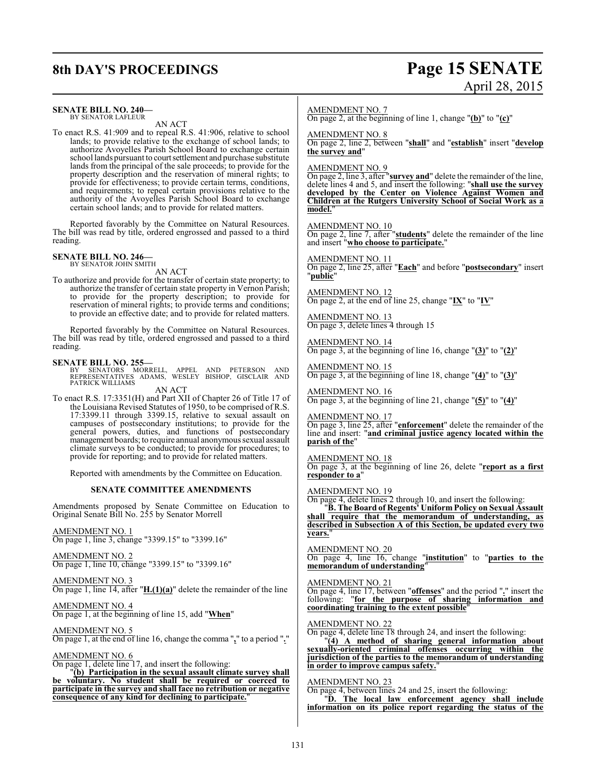# **8th DAY'S PROCEEDINGS Page 15 SENATE**

# April 28, 2015

#### **SENATE BILL NO. 240—**

BY SENATOR LAFLEUR AN ACT

To enact R.S. 41:909 and to repeal R.S. 41:906, relative to school lands; to provide relative to the exchange of school lands; to authorize Avoyelles Parish School Board to exchange certain school lands pursuant to court settlement and purchase substitute lands from the principal of the sale proceeds; to provide for the property description and the reservation of mineral rights; to provide for effectiveness; to provide certain terms, conditions, and requirements; to repeal certain provisions relative to the authority of the Avoyelles Parish School Board to exchange certain school lands; and to provide for related matters.

Reported favorably by the Committee on Natural Resources. The bill was read by title, ordered engrossed and passed to a third reading.

#### **SENATE BILL NO. 246—** BY SENATOR JOHN SMITH

AN ACT

To authorize and provide for the transfer of certain state property; to authorize the transfer of certain state property in Vernon Parish; to provide for the property description; to provide for reservation of mineral rights; to provide terms and conditions; to provide an effective date; and to provide for related matters.

Reported favorably by the Committee on Natural Resources. The bill was read by title, ordered engrossed and passed to a third reading.

**SENATE BILL NO. 255—**<br>BY SENATORS MORRELL, APPEL AND PETERSON AND<br>REPRESENTATIVES ADAMS, WESLEY BISHOP, GISCLAIR AND<br>PATRICK WILLIAMS

AN ACT

To enact R.S. 17:3351(H) and Part XII of Chapter 26 of Title 17 of the Louisiana Revised Statutes of 1950, to be comprised of R.S. 17:3399.11 through 3399.15, relative to sexual assault on campuses of postsecondary institutions; to provide for the general powers, duties, and functions of postsecondary management boards; to require annual anonymous sexual assault climate surveys to be conducted; to provide for procedures; to provide for reporting; and to provide for related matters.

Reported with amendments by the Committee on Education.

#### **SENATE COMMITTEE AMENDMENTS**

Amendments proposed by Senate Committee on Education to Original Senate Bill No. 255 by Senator Morrell

#### AMENDMENT NO. 1

On page 1, line 3, change "3399.15" to "3399.16"

### AMENDMENT NO. 2

On page 1, line 10, change "3399.15" to "3399.16"

AMENDMENT NO. 3 On page 1, line 14, after "**H.(1)(a)**" delete the remainder of the line

AMENDMENT NO. 4 On page 1, at the beginning of line 15, add "**When**"

AMENDMENT NO. 5 On page 1, at the end of line 16, change the comma "**,**" to a period "**.**"

#### AMENDMENT NO. 6

On page 1, delete line 17, and insert the following:

"**(b) Participation in the sexual assault climate survey shall be voluntary. No student shall be required or coerced to participate in the survey and shall face no retribution or negative consequence of any kind for declining to participate.**"

#### AMENDMENT NO. 7

On page 2, at the beginning of line 1, change "**(b)**" to "**(c)**"

#### AMENDMENT NO. 8

On page 2, line 2, between "**shall**" and "**establish**" insert "**develop the survey and**"

#### AMENDMENT NO. 9

On page 2, line 3, after "**survey and**" delete the remainder of the line, delete lines 4 and 5, and insert the following: "**shall use the survey developed by the Center on Violence Against Women and Children at the Rutgers University School of Social Work as a model.**"

#### AMENDMENT NO. 10

On page 2, line 7, after "**students**" delete the remainder of the line and insert "**who choose to participate.**"

AMENDMENT NO. 11 On page 2, line 25, after "**Each**" and before "**postsecondary**" insert "**public**"

AMENDMENT NO. 12 On page 2, at the end of line 25, change "**IX**" to "**IV**"

AMENDMENT NO. 13 On page 3, delete lines 4 through 15

AMENDMENT NO. 14 On page 3, at the beginning of line 16, change "**(3)**" to "**(2)**"

AMENDMENT NO. 15 On page 3, at the beginning of line 18, change "**(4)**" to "**(3)**"

AMENDMENT NO. 16 On page 3, at the beginning of line 21, change "**(5)**" to "**(4)**"

AMENDMENT NO. 17

On page 3, line 25, after "**enforcement**" delete the remainder of the line and insert: "**and criminal justice agency located within the parish of the**"

#### AMENDMENT NO. 18

On page 3, at the beginning of line 26, delete "**report as a first responder to a**"

#### AMENDMENT NO. 19

On page 4, delete lines 2 through 10, and insert the following:

"**B. The Board of Regents' Uniform Policy on Sexual Assault shall require that the memorandum of understanding, as described in Subsection A of this Section, be updated every two years.**"

#### AMENDMENT NO. 20

On page 4, line 16, change "**institution**" to "**parties to the memorandum of understanding**"

#### AMENDMENT NO. 21

On page 4, line 17, between "**offenses**" and the period "**.**" insert the following: "**for the purpose of sharing information and coordinating training to the extent possible**"

#### AMENDMENT NO. 22

On page 4, delete line 18 through 24, and insert the following:

"**(4) A method of sharing general information about sexually-oriented criminal offenses occurring within the jurisdiction of the parties to the memorandum of understanding in order to improve campus safety.**"

### AMENDMENT NO. 23

On page 4, between lines 24 and 25, insert the following: "**D. The local law enforcement agency shall include information on its police report regarding the status of the**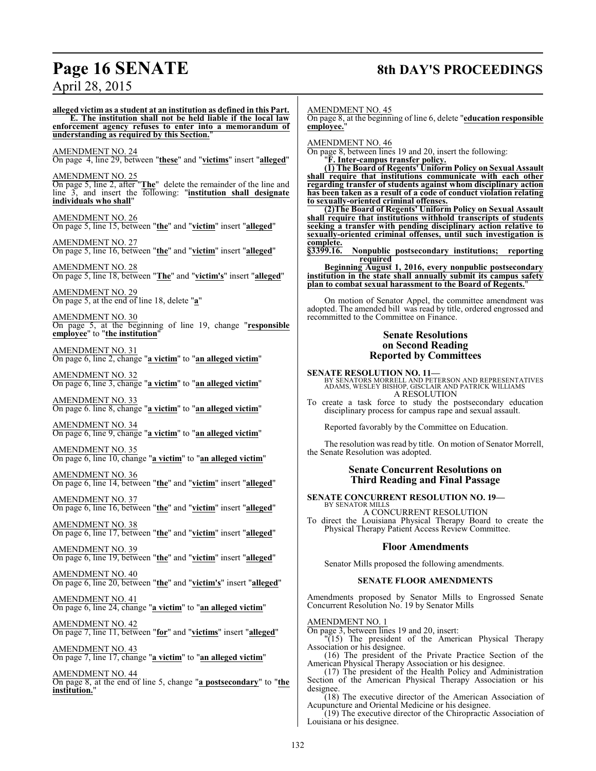# **Page 16 SENATE 8th DAY'S PROCEEDINGS**

## April 28, 2015

**alleged victim as a student at an institution as defined in this Part. E. The institution shall not be held liable if the local law enforcement agency refuses to enter into a memorandum of understanding as required by this Section.**" AMENDMENT NO. 24 On page 4, line 29, between "**these**" and "**victims**" insert "**alleged**" AMENDMENT NO. 25 On page 5, line 2, after "**The**" delete the remainder of the line and line 3, and insert the following: "**institution shall designate individuals who shall**" AMENDMENT NO. 26 On page 5, line 15, between "**the**" and "**victim**" insert "**alleged**" AMENDMENT NO. 27 On page 5, line 16, between "**the**" and "**victim**" insert "**alleged**" AMENDMENT NO. 28 On page 5, line 18, between "**The**" and "**victim's**" insert "**alleged**" AMENDMENT NO. 29 On page 5, at the end of line 18, delete "**a**" AMENDMENT NO. 30 On page 5, at the beginning of line 19, change "**responsible employee**" to "**the institution**" AMENDMENT NO. 31 On page 6, line 2, change "**a victim**" to "**an alleged victim**" AMENDMENT NO. 32 On page 6, line 3, change "**a victim**" to "**an alleged victim**" AMENDMENT NO. 33 On page 6. line 8, change "**a victim**" to "**an alleged victim**" AMENDMENT NO. 34 On page 6, line 9, change "**a victim**" to "**an alleged victim**" AMENDMENT NO. 35 On page 6, line 10, change "**a victim**" to "**an alleged victim**" AMENDMENT NO. 36 On page 6, line 14, between "**the**" and "**victim**" insert "**alleged**" AMENDMENT NO. 37 On page 6, line 16, between "**the**" and "**victim**" insert "**alleged**" **employee.**" **complete.**<br>§3399.16. BY SENATOR MILLS

AMENDMENT NO. 38

On page 6, line 17, between "**the**" and "**victim**" insert "**alleged**"

AMENDMENT NO. 39 On page 6, line 19, between "**the**" and "**victim**" insert "**alleged**"

AMENDMENT NO. 40 On page 6, line 20, between "**the**" and "**victim's**" insert "**alleged**"

AMENDMENT NO. 41 On page 6, line 24, change "**a victim**" to "**an alleged victim**"

AMENDMENT NO. 42 On page 7, line 11, between "**for**" and "**victims**" insert "**alleged**"

AMENDMENT NO. 43 On page 7, line 17, change "**a victim**" to "**an alleged victim**"

AMENDMENT NO. 44 On page 8, at the end of line 5, change "**a postsecondary**" to "**the institution.**"

AMENDMENT NO. 45

On page 8, at the beginning of line 6, delete "**education responsible**

AMENDMENT NO. 46

On page 8, between lines 19 and 20, insert the following: "**F. Inter-campus transfer policy.**

**(1) The Board of Regents' Uniform Policy on Sexual Assault shall require that institutions communicate with each other regarding transfer of students against whom disciplinary action has been taken as a result of a code of conduct violation relating to sexually-oriented criminal offenses.**

**(2)The Board of Regents' Uniform Policy on Sexual Assault shall require that institutions withhold transcripts of students seeking a transfer with pending disciplinary action relative to sexually-oriented criminal offenses, until such investigation is**

**§3399.16. Nonpublic postsecondary institutions; reporting required**

**Beginning August 1, 2016, every nonpublic postsecondary institution in the state shall annually submit its campus safety plan to combat sexual harassment to the Board of Regents.**"

On motion of Senator Appel, the committee amendment was adopted. The amended bill was read by title, ordered engrossed and recommitted to the Committee on Finance.

#### **Senate Resolutions on Second Reading Reported by Committees**

**SENATE RESOLUTION NO. 11—**<br>BY SENATORS MORRELL AND PETERSON AND REPRESENTATIVES<br>ADAMS, WESLEY BISHOP, GISCLAIR AND PATRICK WILLIAMS A RESOLUTION

To create a task force to study the postsecondary education disciplinary process for campus rape and sexual assault.

Reported favorably by the Committee on Education.

The resolution was read by title. On motion of Senator Morrell, the Senate Resolution was adopted.

#### **Senate Concurrent Resolutions on Third Reading and Final Passage**

**SENATE CONCURRENT RESOLUTION NO. 19—**

A CONCURRENT RESOLUTION To direct the Louisiana Physical Therapy Board to create the Physical Therapy Patient Access Review Committee.

#### **Floor Amendments**

Senator Mills proposed the following amendments.

#### **SENATE FLOOR AMENDMENTS**

Amendments proposed by Senator Mills to Engrossed Senate Concurrent Resolution No. 19 by Senator Mills

AMENDMENT NO. 1

On page 3, between lines 19 and 20, insert:

"(15) The president of the American Physical Therapy Association or his designee.

(16) The president of the Private Practice Section of the American Physical Therapy Association or his designee.

(17) The president of the Health Policy and Administration Section of the American Physical Therapy Association or his designee.

 $(18)$  The executive director of the American Association of Acupuncture and Oriental Medicine or his designee.

(19) The executive director of the Chiropractic Association of Louisiana or his designee.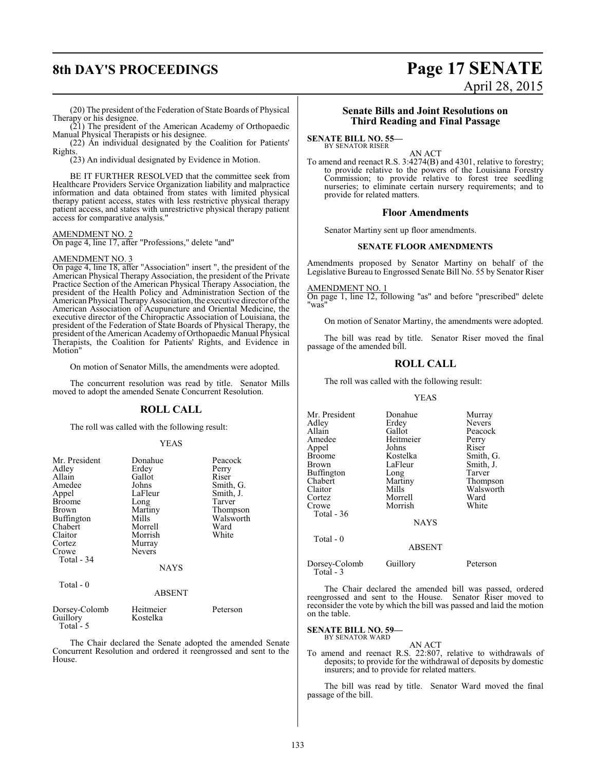## **8th DAY'S PROCEEDINGS Page 17 SENATE** April 28, 2015

(20) The president of the Federation of State Boards of Physical Therapy or his designee.

(21) The president of the American Academy of Orthopaedic Manual Physical Therapists or his designee.

(22) An individual designated by the Coalition for Patients' Rights.

(23) An individual designated by Evidence in Motion.

BE IT FURTHER RESOLVED that the committee seek from Healthcare Providers Service Organization liability and malpractice information and data obtained from states with limited physical therapy patient access, states with less restrictive physical therapy patient access, and states with unrestrictive physical therapy patient access for comparative analysis."

#### AMENDMENT NO. 2

On page 4, line 17, after "Professions," delete "and"

#### AMENDMENT NO. 3

On page 4, line 18, after "Association" insert ", the president of the American Physical Therapy Association, the president of the Private Practice Section of the American Physical Therapy Association, the president of the Health Policy and Administration Section of the American Physical Therapy Association, the executive director of the American Association of Acupuncture and Oriental Medicine, the executive director of the Chiropractic Association of Louisiana, the president of the Federation of State Boards of Physical Therapy, the president of the American Academy of Orthopaedic Manual Physical Therapists, the Coalition for Patients' Rights, and Evidence in Motion"

On motion of Senator Mills, the amendments were adopted.

The concurrent resolution was read by title. Senator Mills moved to adopt the amended Senate Concurrent Resolution.

### **ROLL CALL**

The roll was called with the following result:

#### YEAS

| Mr. President<br>Adley<br>Allain<br>Amedee<br>Appel<br>Broome<br>Brown<br>Buffington<br>Chabert<br>Claitor<br>Cortez<br>Crowe<br>Total - 34<br>Total $-0$ | Donahue<br>Erdey<br>Gallot<br>Johns<br>LaFleur<br>Long<br>Martiny<br>Mills<br>Morrell<br>Morrish<br>Murray<br><b>Nevers</b><br><b>NAYS</b><br><b>ABSENT</b> | Peacock<br>Perry<br>Riser<br>Smith, G.<br>Smith, J.<br>Tarver<br>Thompson<br>Walsworth<br>Ward<br>White |
|-----------------------------------------------------------------------------------------------------------------------------------------------------------|-------------------------------------------------------------------------------------------------------------------------------------------------------------|---------------------------------------------------------------------------------------------------------|
|                                                                                                                                                           |                                                                                                                                                             |                                                                                                         |
| Dorsey-Colomb<br>Guillory                                                                                                                                 | Heitmeier<br>Kostelka                                                                                                                                       | Peterson                                                                                                |

Total - 5

The Chair declared the Senate adopted the amended Senate Concurrent Resolution and ordered it reengrossed and sent to the House.

#### **Senate Bills and Joint Resolutions on Third Reading and Final Passage**

#### **SENATE BILL NO. 55—**

BY SENATOR RISER

AN ACT To amend and reenact R.S. 3:4274(B) and 4301, relative to forestry; to provide relative to the powers of the Louisiana Forestry Commission; to provide relative to forest tree seedling nurseries; to eliminate certain nursery requirements; and to provide for related matters.

#### **Floor Amendments**

Senator Martiny sent up floor amendments.

#### **SENATE FLOOR AMENDMENTS**

Amendments proposed by Senator Martiny on behalf of the Legislative Bureau to Engrossed Senate Bill No. 55 by Senator Riser

AMENDMENT NO. 1

On page 1, line 12, following "as" and before "prescribed" delete "was"

On motion of Senator Martiny, the amendments were adopted.

The bill was read by title. Senator Riser moved the final passage of the amended bill.

#### **ROLL CALL**

The roll was called with the following result:

#### YEAS

| Mr. President | Donahue       | Murray        |
|---------------|---------------|---------------|
| Adlev         | Erdey         | <b>Nevers</b> |
| Allain        | Gallot        | Peacock       |
| Amedee        | Heitmeier     | Perry         |
| Appel         | Johns         | Riser         |
| Broome        | Kostelka      | Smith, G.     |
| Brown         | LaFleur       | Smith, J.     |
| Buffington    | Long          | Tarver        |
| Chabert       | Martiny       | Thompson      |
| Claitor       | Mills         | Walsworth     |
| Cortez        | Morrell       | Ward          |
| Crowe         | Morrish       | White         |
| Total - 36    |               |               |
|               | <b>NAYS</b>   |               |
| Total $-0$    |               |               |
|               | <b>ABSENT</b> |               |
|               |               |               |

Dorsey-Colomb Guillory Peterson Total - 3

The Chair declared the amended bill was passed, ordered reengrossed and sent to the House. Senator Riser moved to reconsider the vote by which the bill was passed and laid the motion on the table.

**SENATE BILL NO. 59—**<br>BY SENATOR WARD

#### AN ACT

To amend and reenact R.S. 22:807, relative to withdrawals of deposits; to provide for the withdrawal of deposits by domestic insurers; and to provide for related matters.

The bill was read by title. Senator Ward moved the final passage of the bill.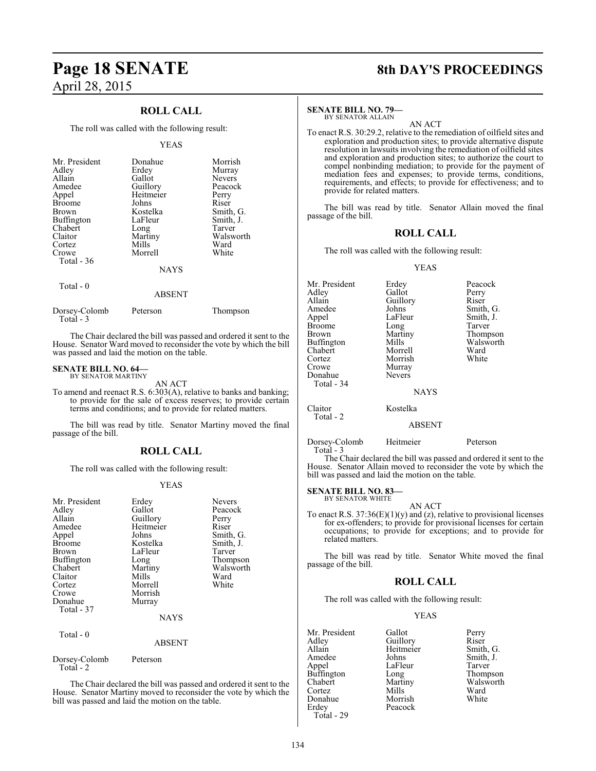# **Page 18 SENATE 8th DAY'S PROCEEDINGS** April 28, 2015

### **ROLL CALL**

The roll was called with the following result:

#### YEAS

| Mr. President<br>Adley<br>Allain<br>Amedee<br>Appel<br><b>Broome</b><br>Brown<br><b>Buffington</b><br>Chabert<br>Claitor | Donahue<br>Erdey<br>Gallot<br>Guillory<br>Heitmeier<br>Johns<br>Kostelka<br>LaFleur<br>Long<br>Martiny | Morrish<br>Murray<br><b>Nevers</b><br>Peacock<br>Perry<br>Riser<br>Smith, G.<br>Smith, J.<br>Tarver<br>Walsworth |
|--------------------------------------------------------------------------------------------------------------------------|--------------------------------------------------------------------------------------------------------|------------------------------------------------------------------------------------------------------------------|
| Cortez                                                                                                                   | Mills                                                                                                  | Ward                                                                                                             |
| Crowe<br>Total $-36$                                                                                                     | Morrell                                                                                                | White                                                                                                            |
|                                                                                                                          | <b>NAYS</b>                                                                                            |                                                                                                                  |
| $Total - 0$                                                                                                              |                                                                                                        |                                                                                                                  |

# ABSENT

| Thompson |
|----------|
|          |

The Chair declared the bill was passed and ordered it sent to the House. Senator Ward moved to reconsider the vote by which the bill was passed and laid the motion on the table.

#### **SENATE BILL NO. 64—**

BY SENATOR MARTINY AN ACT

To amend and reenact R.S. 6:303(A), relative to banks and banking; to provide for the sale of excess reserves; to provide certain terms and conditions; and to provide for related matters.

The bill was read by title. Senator Martiny moved the final passage of the bill.

### **ROLL CALL**

The roll was called with the following result:

#### YEAS

| Mr. President<br>Adley<br>Allain<br>Amedee<br>Appel<br><b>Broome</b><br>Brown<br>Buffington<br>Chabert<br>Claitor<br>Cortez<br>Crowe<br>Donahue<br>Total - 37<br>Total - 0 | Erdey<br>Gallot<br>Guillory<br>Heitmeier<br>Johns<br>Kostelka<br>LaFleur<br>Long<br>Martiny<br>Mills<br>Morrell<br>Morrish<br>Murray<br><b>NAYS</b> | <b>Nevers</b><br>Peacock<br>Perry<br>Riser<br>Smith, G.<br>Smith, J.<br>Tarver<br>Thompson<br>Walsworth<br>Ward<br>White |
|----------------------------------------------------------------------------------------------------------------------------------------------------------------------------|-----------------------------------------------------------------------------------------------------------------------------------------------------|--------------------------------------------------------------------------------------------------------------------------|
|                                                                                                                                                                            | <b>ABSENT</b>                                                                                                                                       |                                                                                                                          |
| Dorsey-Colomb<br>Total - 2                                                                                                                                                 | Peterson                                                                                                                                            |                                                                                                                          |

The Chair declared the bill was passed and ordered it sent to the House. Senator Martiny moved to reconsider the vote by which the bill was passed and laid the motion on the table.

#### **SENATE BILL NO. 79—**

BY SENATOR ALLAIN

AN ACT To enact R.S. 30:29.2, relative to the remediation of oilfield sites and exploration and production sites; to provide alternative dispute resolution in lawsuits involving the remediation of oilfield sites and exploration and production sites; to authorize the court to compel nonbinding mediation; to provide for the payment of mediation fees and expenses; to provide terms, conditions, requirements, and effects; to provide for effectiveness; and to provide for related matters.

The bill was read by title. Senator Allain moved the final passage of the bill.

#### **ROLL CALL**

The roll was called with the following result:

#### YEAS

| Mr. President<br>Adley<br>Allain<br>Amedee<br>Appel<br><b>Broome</b><br><b>Brown</b><br>Buffington<br>Chabert<br>Cortez<br>Crowe<br>Donahue<br>Total - 34 | Erdey<br>Gallot<br>Guillory<br>Johns<br>LaFleur<br>Long<br>Martiny<br>Mills<br>Morrell<br>Morrish<br>Murray<br><b>Nevers</b><br><b>NAYS</b> | Peacock<br>Perry<br>Riser<br>Smith, G.<br>Smith, J.<br>Tarver<br>Thompson<br>Walsworth<br>Ward<br>White |
|-----------------------------------------------------------------------------------------------------------------------------------------------------------|---------------------------------------------------------------------------------------------------------------------------------------------|---------------------------------------------------------------------------------------------------------|
| Claitor<br>Total - 2                                                                                                                                      | Kostelka<br><b>ABSENT</b>                                                                                                                   |                                                                                                         |

Dorsey-Colomb Heitmeier Peterson

Total - 3

The Chair declared the bill was passed and ordered it sent to the House. Senator Allain moved to reconsider the vote by which the bill was passed and laid the motion on the table.

#### **SENATE BILL NO. 83—** BY SENATOR WHITE

AN ACT To enact R.S.  $37:36(E)(1)(y)$  and (z), relative to provisional licenses for ex-offenders; to provide for provisional licenses for certain occupations; to provide for exceptions; and to provide for related matters.

The bill was read by title. Senator White moved the final passage of the bill.

### **ROLL CALL**

The roll was called with the following result:

Peacock

#### YEAS

Mr. President Gallot Perry<br>Adley Guillory Riser Adley Guillory<br>Allain Heitmeier Allain Heitmeier Smith, G.<br>Amedee Johns Smith, J. Amedee Johns Smith, J.<br>Appel LaFleur Tarver Buffington<br>Chabert Cortez Mills Ward<br>
Donahue Morrish White Donahue<br>Erdev Total - 29

LaFleur Tarver<br>Long Thompson Martiny Walsworth<br>Mills Ward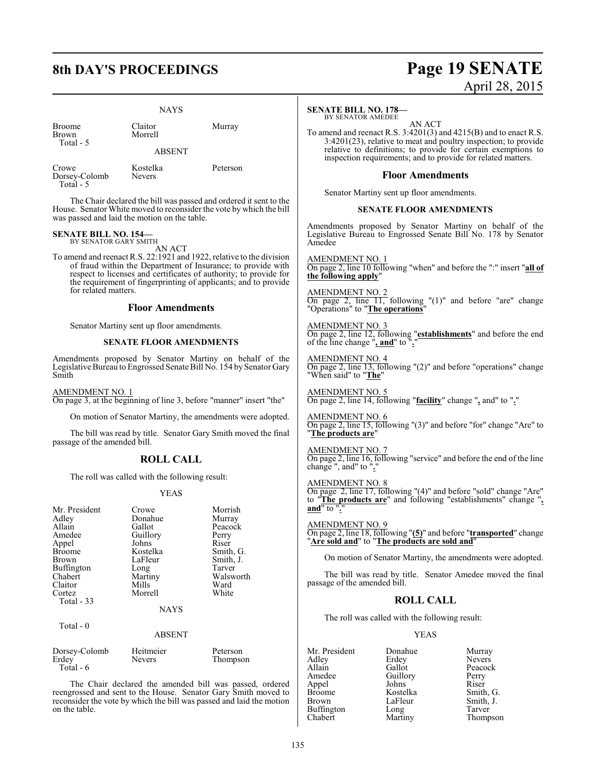# **8th DAY'S PROCEEDINGS Page 19 SENATE**

**NAYS** 

| <b>Broome</b><br><b>Brown</b><br>Total - 5 | Claitor<br>Morrell        | Murray   |
|--------------------------------------------|---------------------------|----------|
|                                            | <b>ABSENT</b>             |          |
| Crowe<br>Dorsey-Colomb<br>Total - 5        | Kostelka<br><b>Nevers</b> | Peterson |

The Chair declared the bill was passed and ordered it sent to the House. Senator White moved to reconsider the vote by which the bill was passed and laid the motion on the table.

#### **SENATE BILL NO. 154—** BY SENATOR GARY SMITH

AN ACT

To amend and reenact R.S. 22:1921 and 1922, relative to the division of fraud within the Department of Insurance; to provide with respect to licenses and certificates of authority; to provide for the requirement of fingerprinting of applicants; and to provide for related matters.

#### **Floor Amendments**

Senator Martiny sent up floor amendments.

#### **SENATE FLOOR AMENDMENTS**

Amendments proposed by Senator Martiny on behalf of the Legislative Bureau to Engrossed Senate Bill No. 154 by Senator Gary Smith

AMENDMENT NO. 1 On page 3, at the beginning of line 3, before "manner" insert "the"

On motion of Senator Martiny, the amendments were adopted.

The bill was read by title. Senator Gary Smith moved the final passage of the amended bill.

#### **ROLL CALL**

The roll was called with the following result:

#### YEAS

| Mr. President<br>Adley | Crowe<br>Donahue | Morrish<br>Murray |
|------------------------|------------------|-------------------|
| Allain                 | Gallot           | Peacock           |
| Amedee                 | Guillory         | Perry             |
| Appel                  | Johns            | Riser             |
| <b>Broome</b>          | Kostelka         | Smith, G.         |
| <b>Brown</b>           | LaFleur          | Smith, J.         |
| Buffington             | Long             | Tarver            |
| Chabert                | Martiny          | Walsworth         |
| Claitor                | Mills            | Ward              |
| Cortez                 | Morrell          | White             |
| Total - 33             |                  |                   |
|                        | <b>NAYS</b>      |                   |
| Total - 0              |                  |                   |
|                        | ABSENT           |                   |

| Dorsey-Colomb | Heitmeier     | Peterson |
|---------------|---------------|----------|
| Erdey         | <b>Nevers</b> | Thompson |
| Total - 6     |               |          |

The Chair declared the amended bill was passed, ordered reengrossed and sent to the House. Senator Gary Smith moved to reconsider the vote by which the bill was passed and laid the motion on the table.

# April 28, 2015

#### **SENATE BILL NO. 178—**

BY SENATOR AMEDEE AN ACT

To amend and reenact R.S. 3:4201(3) and 4215(B) and to enact R.S. 3:4201(23), relative to meat and poultry inspection; to provide relative to definitions; to provide for certain exemptions to inspection requirements; and to provide for related matters.

#### **Floor Amendments**

Senator Martiny sent up floor amendments.

#### **SENATE FLOOR AMENDMENTS**

Amendments proposed by Senator Martiny on behalf of the Legislative Bureau to Engrossed Senate Bill No. 178 by Senator Amedee

AMENDMENT NO. 1 On page 2, line 10 following "when" and before the ":" insert "**all of the following apply**"

AMENDMENT NO. 2 On page 2, line 11, following "(1)" and before "are" change "Operations" to "**The operations**"

AMENDMENT NO. 3 On page 2, line 12, following "**establishments**" and before the end of the line change "**, and**" to "**.**"

AMENDMENT NO. 4 On page 2, line 13, following "(2)" and before "operations" change "When said" to "**The**"

AMENDMENT NO. 5 On page 2, line 14, following "**facility**" change "**,** and" to "**.**"

AMENDMENT NO. 6 On page 2, line 15, following "(3)" and before "for" change "Are" to "**The products are**"

AMENDMENT NO. 7 On page 2, line 16, following "service" and before the end of the line change ", and" to "**.**"

AMENDMENT NO. 8

On page 2, line 17, following "(4)" and before "sold" change "Are" to "**The products are**" and following "establishments" change "**, and**" to "**.**"

AMENDMENT NO. 9 On page 2, line 18, following "**(5)**" and before "**transported**" change "**Are sold and**" to "**The products are sold and**"

On motion of Senator Martiny, the amendments were adopted.

The bill was read by title. Senator Amedee moved the final passage of the amended bill.

### **ROLL CALL**

The roll was called with the following result:

#### YEAS

Mr. President Donahue Murray<br>Adley Erdey Nevers Adley Erdey<br>Allain Gallot Allain Gallot Peacock<br>Amedee Guillory Perry Guillory Perry<br>Johns Riser Appel Johns<br>Broome Kostelka Broome Kostelka Smith, G.<br>Brown LaFleur Smith, J. LaFleur Smith, J.<br>Long Tarver Buffington Long<br>Chabert Martiny

Thompson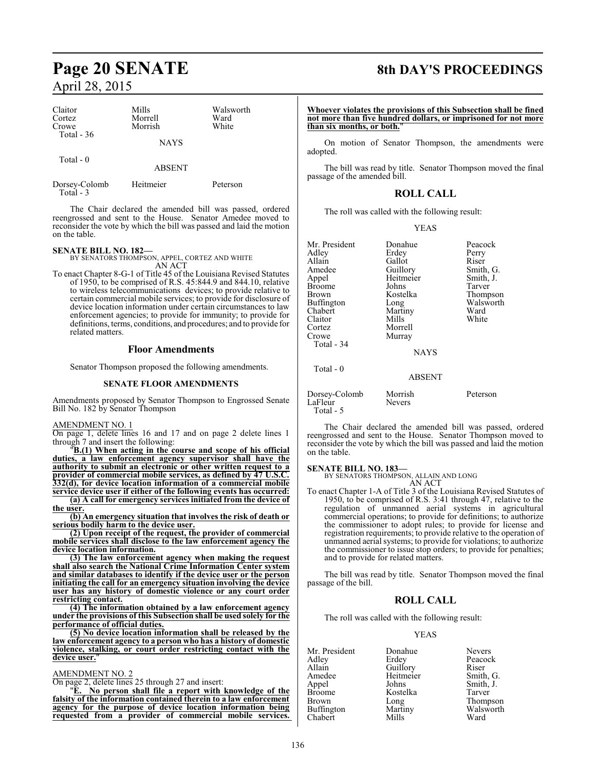# **Page 20 SENATE 8th DAY'S PROCEEDINGS** April 28, 2015

| Claitor<br>Cortez<br>Crowe<br>Total $-36$ | Mills<br>Morrell<br>Morrish | Walsworth<br>Ward<br>White |
|-------------------------------------------|-----------------------------|----------------------------|
|                                           | <b>NAYS</b>                 |                            |
| Total $-0$                                | <b>ABSENT</b>               |                            |
| Dorsey-Colomb<br>Total $-3$               | Heitmeier                   | Peterson                   |

The Chair declared the amended bill was passed, ordered reengrossed and sent to the House. Senator Amedee moved to reconsider the vote by which the bill was passed and laid the motion on the table.

**SENATE BILL NO. 182—** BY SENATORS THOMPSON, APPEL, CORTEZ AND WHITE AN ACT

To enact Chapter 8-G-1 of Title 45 of the Louisiana Revised Statutes of 1950, to be comprised of R.S. 45:844.9 and 844.10, relative to wireless telecommunications devices; to provide relative to certain commercial mobile services; to provide for disclosure of device location information under certain circumstances to law enforcement agencies; to provide for immunity; to provide for definitions, terms, conditions, and procedures; and to provide for related matters.

#### **Floor Amendments**

Senator Thompson proposed the following amendments.

#### **SENATE FLOOR AMENDMENTS**

Amendments proposed by Senator Thompson to Engrossed Senate Bill No. 182 by Senator Thompson

#### AMENDMENT NO. 1

On page 1, delete lines 16 and 17 and on page 2 delete lines 1 through 7 and insert the following:

"**B.(1) When acting in the course and scope of his official duties, a law enforcement agency supervisor shall have the authority to submit an electronic or other written request to a provider of commercial mobile services, as defined by 47 U.S.C. 332(d), for device location information of a commercial mobile service device user if either of the following events has occurred: (a) A call for emergency services initiated from the device of**

**the user.**

**(b) An emergency situation that involves the risk of death or serious bodily harm to the device user.**

**(2) Upon receipt of the request, the provider of commercial mobile services shall disclose to the law enforcement agency the device location information.**

**(3) The law enforcement agency when making the request shall also search the National Crime Information Center system and similar databases to identify if the device user or the person initiating the call for an emergency situation involving the device user has any history of domestic violence or any court order restricting contact.**

**(4) The information obtained by a law enforcement agency under the provisions of this Subsection shall be used solely for the performance of official duties.**

**(5) No device location information shall be released by the law enforcement agency to a person who has a history of domestic violence, stalking, or court order restricting contact with the device user.**"

#### AMENDMENT NO. 2

On page 2, delete lines 25 through 27 and insert:

"**E. No person shall file a report with knowledge of the falsity of the information contained therein to a law enforcement agency for the purpose of device location information being requested from a provider of commercial mobile services.** 

**Whoever violates the provisions of this Subsection shall be fined not more than five hundred dollars, or imprisoned for not more than six months, or both.**"

On motion of Senator Thompson, the amendments were adopted.

The bill was read by title. Senator Thompson moved the final passage of the amended bill.

### **ROLL CALL**

The roll was called with the following result:

#### YEAS

| Mr. President<br>Adley<br>Allain<br>Amedee<br>Appel<br><b>Broome</b><br>Brown<br>Buffington<br>Chabert<br>Claitor<br>Cortez<br>Crowe<br>Total - 34<br>Total - 0 | Donahue<br>Erdey<br>Gallot<br>Guillory<br>Heitmeier<br>Johns<br>Kostelka<br>Long<br>Martiny<br>Mills<br>Morrell<br>Murray<br><b>NAYS</b> | Peacock<br>Perry<br>Riser<br>Smith, G.<br>Smith, J.<br>Tarver<br>Thompson<br>Walsworth<br>Ward<br>White |
|-----------------------------------------------------------------------------------------------------------------------------------------------------------------|------------------------------------------------------------------------------------------------------------------------------------------|---------------------------------------------------------------------------------------------------------|
|                                                                                                                                                                 | <b>ABSENT</b>                                                                                                                            |                                                                                                         |
| Dorsey-Colomb<br>LaFleur                                                                                                                                        | Morrish<br>Nevers                                                                                                                        | Peterson                                                                                                |

The Chair declared the amended bill was passed, ordered reengrossed and sent to the House. Senator Thompson moved to reconsider the vote by which the bill was passed and laid the motion on the table.

LaFleur Total - 5

**SENATE BILL NO. 183—** BY SENATORS THOMPSON, ALLAIN AND LONG

AN ACT To enact Chapter 1-A of Title 3 of the Louisiana Revised Statutes of 1950, to be comprised of R.S. 3:41 through 47, relative to the regulation of unmanned aerial systems in agricultural commercial operations; to provide for definitions; to authorize the commissioner to adopt rules; to provide for license and registration requirements; to provide relative to the operation of unmanned aerial systems; to provide for violations; to authorize the commissioner to issue stop orders; to provide for penalties; and to provide for related matters.

The bill was read by title. Senator Thompson moved the final passage of the bill.

#### **ROLL CALL**

The roll was called with the following result:

#### YEAS

| Mr. President | Donahue   | <b>Nevers</b> |
|---------------|-----------|---------------|
| Adley         | Erdey     | Peacock       |
| Allain        | Guillory  | Riser         |
| Amedee        | Heitmeier | Smith, G.     |
| Appel         | Johns     | Smith, J.     |
| <b>Broome</b> | Kostelka  | Tarver        |
| <b>Brown</b>  | Long      | Thompson      |
| Buffington    | Martiny   | Walsworth     |
| Chabert       | Mills     | Ward          |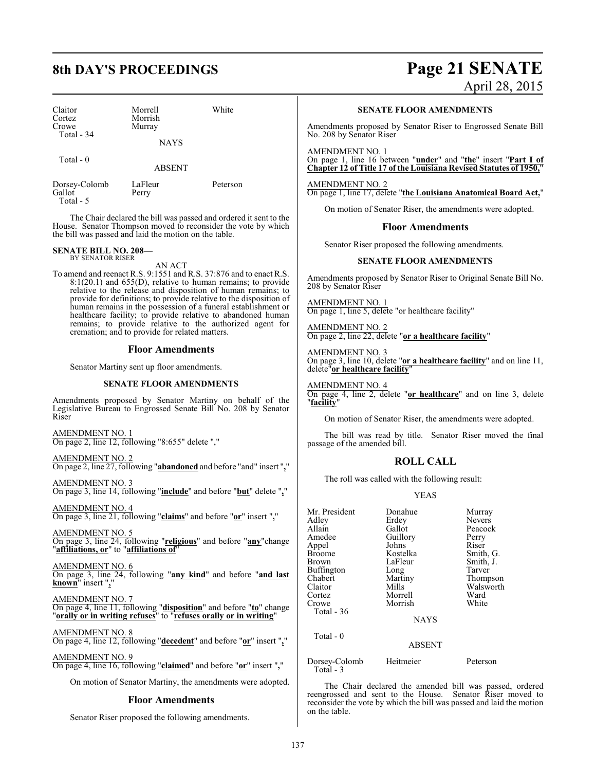# **8th DAY'S PROCEEDINGS Page 21 SENATE**

| Claitor<br>Cortez                    | Morrell<br>Morrish    | White    |  |
|--------------------------------------|-----------------------|----------|--|
| Crowe<br>Total $-34$                 | Murray<br><b>NAYS</b> |          |  |
| Total $-0$                           | <b>ABSENT</b>         |          |  |
| Dorsey-Colomb<br>Gallot<br>Total - 5 | LaFleur<br>Perry      | Peterson |  |

The Chair declared the bill was passed and ordered it sent to the House. Senator Thompson moved to reconsider the vote by which the bill was passed and laid the motion on the table.

#### **SENATE BILL NO. 208—** BY SENATOR RISER

AN ACT

To amend and reenact R.S. 9:1551 and R.S. 37:876 and to enact R.S. 8:1(20.1) and 655(D), relative to human remains; to provide relative to the release and disposition of human remains; to provide for definitions; to provide relative to the disposition of human remains in the possession of a funeral establishment or healthcare facility; to provide relative to abandoned human remains; to provide relative to the authorized agent for cremation; and to provide for related matters.

#### **Floor Amendments**

Senator Martiny sent up floor amendments.

#### **SENATE FLOOR AMENDMENTS**

Amendments proposed by Senator Martiny on behalf of the Legislative Bureau to Engrossed Senate Bill No. 208 by Senator Riser

AMENDMENT NO. 1 On page 2, line 12, following "8:655" delete ","

AMENDMENT NO. 2 On page 2, line 27, following "**abandoned** and before "and" insert "**,**"

AMENDMENT NO. 3 On page 3, line 14, following "**include**" and before "**but**" delete "**,**"

AMENDMENT NO. 4 On page 3, line 21, following "**claims**" and before "**or**" insert "**,**"

AMENDMENT NO. 5 On page 3, line 24, following "**religious**" and before "**any**"change

"**affiliations, or**" to "**affiliations of**"

AMENDMENT NO. 6

On page 3, line 24, following "**any kind**" and before "**and last known**" insert "**,**"

AMENDMENT NO. 7 On page 4, line 11, following "**disposition**" and before "**to**" change "**orally or in writing refuses**" to "**refuses orally or in writing**"

AMENDMENT NO. 8

On page 4, line 12, following "**decedent**" and before "**or**" insert "**,**"

AMENDMENT NO. 9 On page 4, line 16, following "**claimed**" and before "**or**" insert "**,**"

On motion of Senator Martiny, the amendments were adopted.

#### **Floor Amendments**

Senator Riser proposed the following amendments.

# April 28, 2015

**SENATE FLOOR AMENDMENTS**

Amendments proposed by Senator Riser to Engrossed Senate Bill No. 208 by Senator Riser

AMENDMENT NO. 1 On page 1, line 16 between "**under**" and "**the**" insert "**Part I of Chapter 12 of Title 17 of the Louisiana Revised Statutes of 1950,**"

AMENDMENT NO. 2 On page 1, line 17, delete "**the Louisiana Anatomical Board Act,**"

On motion of Senator Riser, the amendments were adopted.

#### **Floor Amendments**

Senator Riser proposed the following amendments.

#### **SENATE FLOOR AMENDMENTS**

Amendments proposed by Senator Riser to Original Senate Bill No. 208 by Senator Riser

AMENDMENT NO. 1 On page 1, line 5, delete "or healthcare facility"

AMENDMENT NO. 2 On page 2, line 22, delete "**or a healthcare facility**"

AMENDMENT NO. 3 On page 3, line 10, delete "**or a healthcare facility**" and on line 11, delete"**or healthcare facility**"

AMENDMENT NO. 4 On page 4, line 2, delete "**or healthcare**" and on line 3, delete "**facility**"

On motion of Senator Riser, the amendments were adopted.

The bill was read by title. Senator Riser moved the final passage of the amended bill.

### **ROLL CALL**

The roll was called with the following result:

#### YEAS

| Mr. President<br>Adley<br>Allain<br>Amedee<br>Appel<br><b>Broome</b><br>Brown<br>Buffington<br>Chabert<br>Claitor<br>Cortez<br>Crowe<br>Total $-36$ | Donahue<br>Erdey<br>Gallot<br>Guillory<br>Johns<br>Kostelka<br>LaFleur<br>Long<br>Martiny<br>Mills<br>Morrell<br>Morrish<br><b>NAYS</b> | Murray<br>Nevers<br>Peacock<br>Perry<br>Riser<br>Smith, G.<br>Smith, J.<br>Tarver<br>Thompson<br>Walsworth<br>Ward<br>White |
|-----------------------------------------------------------------------------------------------------------------------------------------------------|-----------------------------------------------------------------------------------------------------------------------------------------|-----------------------------------------------------------------------------------------------------------------------------|
| Total - 0                                                                                                                                           | <b>ABSENT</b>                                                                                                                           |                                                                                                                             |
| $\sim$ 1 1                                                                                                                                          | $\mathbf{v} = \mathbf{v}$ . The set of $\mathbf{v}$                                                                                     |                                                                                                                             |

Dorsey-Colomb Heitmeier Peterson Total - 3

The Chair declared the amended bill was passed, ordered reengrossed and sent to the House. Senator Riser moved to reconsider the vote by which the bill was passed and laid the motion on the table.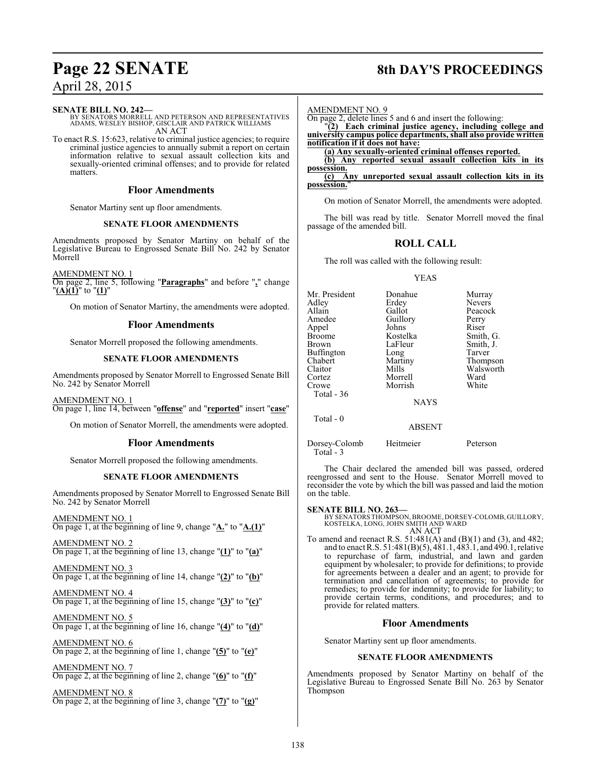#### **SENATE BILL NO. 242—**

BY SENATORS MORRELL AND PETERSON AND REPRESENTATIVES ADAMS, WESLEY BISHOP, GISCLAIR AND PATRICK WILLIAMS AN ACT

To enact R.S. 15:623, relative to criminal justice agencies; to require criminal justice agencies to annually submit a report on certain information relative to sexual assault collection kits and sexually-oriented criminal offenses; and to provide for related matters.

#### **Floor Amendments**

Senator Martiny sent up floor amendments.

#### **SENATE FLOOR AMENDMENTS**

Amendments proposed by Senator Martiny on behalf of the Legislative Bureau to Engrossed Senate Bill No. 242 by Senator Morrell

AMENDMENT NO. 1

On page 2, line 5, following "**Paragraphs**" and before "**,**" change "**(A)(1)**" to "**(1)**"

On motion of Senator Martiny, the amendments were adopted.

### **Floor Amendments**

Senator Morrell proposed the following amendments.

#### **SENATE FLOOR AMENDMENTS**

Amendments proposed by Senator Morrell to Engrossed Senate Bill No. 242 by Senator Morrell

AMENDMENT NO. 1 On page 1, line 14, between "**offense**" and "**reported**" insert "**case**"

On motion of Senator Morrell, the amendments were adopted.

### **Floor Amendments**

Senator Morrell proposed the following amendments.

#### **SENATE FLOOR AMENDMENTS**

Amendments proposed by Senator Morrell to Engrossed Senate Bill No. 242 by Senator Morrell

AMENDMENT NO. 1 On page 1, at the beginning of line 9, change "**A.**" to "**A.(1)**"

AMENDMENT NO. 2 On page 1, at the beginning of line 13, change "**(1)**" to "**(a)**"

AMENDMENT NO. 3 On page 1, at the beginning of line 14, change "**(2)**" to "**(b)**"

AMENDMENT NO. 4 On page 1, at the beginning of line 15, change "**(3)**" to "**(c)**"

AMENDMENT NO. 5 On page 1, at the beginning of line 16, change "**(4)**" to "**(d)**"

AMENDMENT NO. 6 On page 2, at the beginning of line 1, change "**(5)**" to "**(e)**"

AMENDMENT NO. 7 On page 2, at the beginning of line 2, change "**(6)**" to "**(f)**"

AMENDMENT NO. 8 On page 2, at the beginning of line 3, change "**(7)**" to "**(g)**"

# **Page 22 SENATE 8th DAY'S PROCEEDINGS**

| <b>AMENDMENT NO. 9</b>                                                                                                |
|-----------------------------------------------------------------------------------------------------------------------|
|                                                                                                                       |
| On page 2, delete lines 5 and 6 and insert the following:<br>"(2) Each criminal justice agency, including college and |
| university campus police departments, shall also provide written                                                      |
| notification if it does not have:                                                                                     |
| (a) Any sexually-oriented criminal offenses reported.                                                                 |
| Any reported sexual assault collection kits in its                                                                    |
| possession.                                                                                                           |
| Any unreported sexual assault collection kits in its                                                                  |
|                                                                                                                       |

On motion of Senator Morrell, the amendments were adopted.

The bill was read by title. Senator Morrell moved the final passage of the amended bill.

### **ROLL CALL**

The roll was called with the following result:

#### YEAS

| Mr. President     | Donahue     | Murray        |
|-------------------|-------------|---------------|
| Adley             | Erdey       | <b>Nevers</b> |
| Allain            | Gallot      | Peacock       |
| Amedee            | Guillory    | Perry         |
| Appel             | Johns       | Riser         |
| <b>Broome</b>     | Kostelka    | Smith, G.     |
| <b>Brown</b>      | LaFleur     | Smith, J.     |
| <b>Buffington</b> | Long        | Tarver        |
| Chabert           | Martiny     | Thompson      |
| Claitor           | Mills       | Walsworth     |
| Cortez            | Morrell     | Ward          |
| Crowe             | Morrish     | White         |
| Total $-36$       |             |               |
|                   | <b>NAYS</b> |               |
| Total - 0         |             |               |

ABSENT

Dorsey-Colomb Heitmeier Peterson Total - 3

The Chair declared the amended bill was passed, ordered reengrossed and sent to the House. Senator Morrell moved to reconsider the vote by which the bill was passed and laid the motion on the table.

#### **SENATE BILL NO. 263—**

BY SENATORS THOMPSON,BROOME, DORSEY-COLOMB, GUILLORY, KOSTELKA, LONG, JOHN SMITH AND WARD AN ACT

To amend and reenact R.S. 51:481(A) and (B)(1) and (3), and 482; and to enact R.S. 51:481(B)(5), 481.1, 483.1, and 490.1, relative to repurchase of farm, industrial, and lawn and garden equipment by wholesaler; to provide for definitions; to provide for agreements between a dealer and an agent; to provide for termination and cancellation of agreements; to provide for remedies; to provide for indemnity; to provide for liability; to provide certain terms, conditions, and procedures; and to provide for related matters.

### **Floor Amendments**

Senator Martiny sent up floor amendments.

#### **SENATE FLOOR AMENDMENTS**

Amendments proposed by Senator Martiny on behalf of the Legislative Bureau to Engrossed Senate Bill No. 263 by Senator Thompson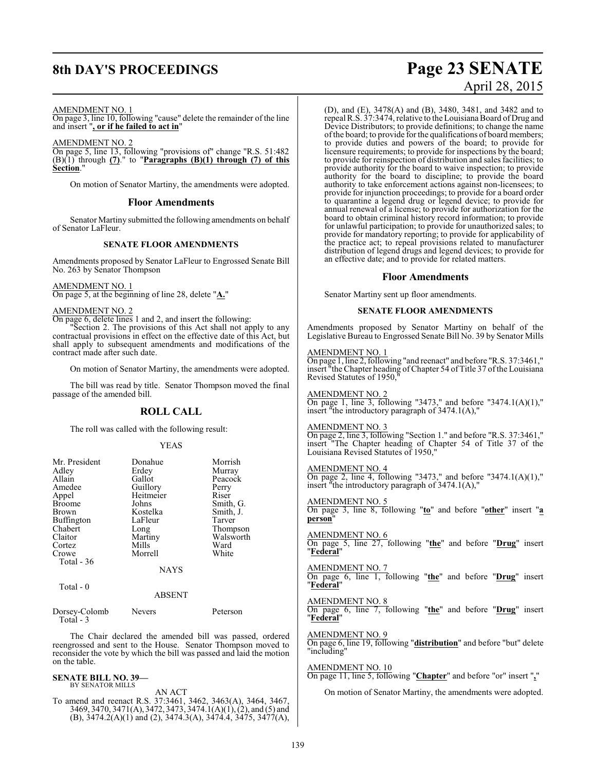# **8th DAY'S PROCEEDINGS Page 23 SENATE**

## AMENDMENT NO. 1

On page 3, line 10, following "cause" delete the remainder of the line and insert "**, or if he failed to act in**"

AMENDMENT NO. 2 On page 5, line 13, following "provisions of" change "R.S. 51:482 (B)(1) through **(7)**." to "**Paragraphs (B)(1) through (7) of this Section.** 

On motion of Senator Martiny, the amendments were adopted.

#### **Floor Amendments**

Senator Martiny submitted the following amendments on behalf of Senator LaFleur.

#### **SENATE FLOOR AMENDMENTS**

Amendments proposed by Senator LaFleur to Engrossed Senate Bill No. 263 by Senator Thompson

#### AMENDMENT NO. 1

On page 5, at the beginning of line 28, delete "**A.**"

#### AMENDMENT NO. 2

On page 6, delete lines 1 and 2, and insert the following:

"Section 2. The provisions of this Act shall not apply to any contractual provisions in effect on the effective date of this Act, but shall apply to subsequent amendments and modifications of the contract made after such date.

On motion of Senator Martiny, the amendments were adopted.

The bill was read by title. Senator Thompson moved the final passage of the amended bill.

#### **ROLL CALL**

The roll was called with the following result:

#### YEAS

| Mr. President<br>Adley | Donahue<br>Erdey | Morrish<br>Murray |
|------------------------|------------------|-------------------|
| Allain                 | Gallot           | Peacock           |
| Amedee                 | Guillory         | Perry             |
| Appel                  | Heitmeier        | Riser             |
| <b>Broome</b>          | Johns            | Smith, G.         |
| <b>Brown</b>           | Kostelka         | Smith, J.         |
| <b>Buffington</b>      | LaFleur          | Tarver            |
| Chabert                | Long             | Thompson          |
| Claitor                | Martiny          | Walsworth         |
| Cortez                 | Mills            | Ward              |
| Crowe                  | Morrell          | White             |
| Total - 36             |                  |                   |
|                        | <b>NAYS</b>      |                   |
| Total - 0              |                  |                   |

#### ABSENT

| Dorsey-Colomb | Nevers | Peterson |
|---------------|--------|----------|
| Total $-3$    |        |          |

The Chair declared the amended bill was passed, ordered reengrossed and sent to the House. Senator Thompson moved to reconsider the vote by which the bill was passed and laid the motion on the table.

### **SENATE BILL NO. 39—**

BY SENATOR MILLS AN ACT To amend and reenact R.S. 37:3461, 3462, 3463(A), 3464, 3467, 3469, 3470, 3471(A), 3472, 3473, 3474.1(A)(1), (2), and (5) and (B),  $3474.2(A)(1)$  and (2),  $3474.3(A)$ ,  $3474.4$ ,  $3475$ ,  $3477(A)$ ,

# April 28, 2015

(D), and (E), 3478(A) and (B), 3480, 3481, and 3482 and to repeal R.S. 37:3474, relative to the Louisiana Board of Drug and Device Distributors; to provide definitions; to change the name ofthe board; to provide for the qualifications of board members; to provide duties and powers of the board; to provide for licensure requirements; to provide for inspections by the board; to provide for reinspection of distribution and sales facilities; to provide authority for the board to waive inspection; to provide authority for the board to discipline; to provide the board authority to take enforcement actions against non-licensees; to provide for injunction proceedings; to provide for a board order to quarantine a legend drug or legend device; to provide for annual renewal of a license; to provide for authorization for the board to obtain criminal history record information; to provide for unlawful participation; to provide for unauthorized sales; to provide for mandatory reporting; to provide for applicability of the practice act; to repeal provisions related to manufacturer distribution of legend drugs and legend devices; to provide for an effective date; and to provide for related matters.

#### **Floor Amendments**

Senator Martiny sent up floor amendments.

#### **SENATE FLOOR AMENDMENTS**

Amendments proposed by Senator Martiny on behalf of the Legislative Bureau to Engrossed Senate Bill No. 39 by Senator Mills

#### AMENDMENT NO. 1

On page 1, line 2, following "and reenact" and before "R.S. 37:3461," insert "the Chapter heading ofChapter 54 ofTitle 37 ofthe Louisiana Revised Statutes of 1950,"

#### AMENDMENT NO. 2

On page 1, line 3, following "3473," and before "3474.1(A)(1)," insert "the introductory paragraph of 3474.1(A),"

#### AMENDMENT NO. 3

On page 2, line 3, following "Section 1." and before "R.S. 37:3461," insert "The Chapter heading of Chapter 54 of Title 37 of the Louisiana Revised Statutes of 1950,"

#### AMENDMENT NO. 4

On page 2, line 4, following "3473," and before "3474.1(A)(1)," insert "the introductory paragraph of 3474.1(A),"

#### AMENDMENT NO. 5

On page 3, line 8, following "**to**" and before "**other**" insert "**a person**"

#### AMENDMENT NO. 6

On page 5, line 27, following "**the**" and before "**Drug**" insert "**Federal**"

#### AMENDMENT NO. 7

On page 6, line 1, following "**the**" and before "**Drug**" insert "**Federal**"

### AMENDMENT NO. 8

On page 6, line 7, following "**the**" and before "**Drug**" insert "**Federal**"

#### AMENDMENT NO. 9

On page 6, line 19, following "**distribution**" and before "but" delete "including"

#### AMENDMENT NO. 10

On page 11, line 5, following "**Chapter**" and before "or" insert "**,**"

On motion of Senator Martiny, the amendments were adopted.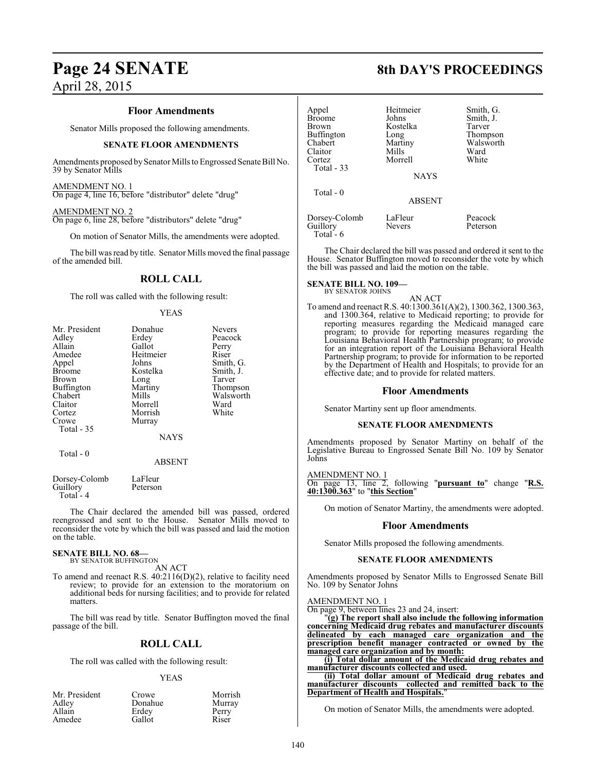# **Page 24 SENATE 8th DAY'S PROCEEDINGS**

April 28, 2015

#### **Floor Amendments**

Senator Mills proposed the following amendments.

#### **SENATE FLOOR AMENDMENTS**

Amendments proposed by Senator Mills to Engrossed Senate Bill No. 39 by Senator Mills

#### AMENDMENT NO. 1

On page 4, line 16, before "distributor" delete "drug"

#### AMENDMENT NO. 2

On page 6, line 28, before "distributors" delete "drug"

On motion of Senator Mills, the amendments were adopted.

The bill was read by title. Senator Mills moved the final passage of the amended bill.

## **ROLL CALL**

The roll was called with the following result:

#### YEAS

| Mr. President | Donahue       | <b>Nevers</b> |
|---------------|---------------|---------------|
| Adley         | Erdey         | Peacock       |
| Allain        | Gallot        | Perry         |
| Amedee        | Heitmeier     | Riser         |
| Appel         | Johns         | Smith, G.     |
| <b>Broome</b> | Kostelka      | Smith, J.     |
| Brown         | Long          | Tarver        |
| Buffington    | Martiny       | Thompson      |
| Chabert       | Mills         | Walsworth     |
| Claitor       | Morrell       | Ward          |
| Cortez        | Morrish       | White         |
| Crowe         | Murray        |               |
| Total - 35    |               |               |
|               | <b>NAYS</b>   |               |
| Total - 0     |               |               |
|               | <b>ABSENT</b> |               |
| Dorsey-Colomb | LaFleur       |               |

| Dorsey-Colomb | LaFleur  |
|---------------|----------|
| Guillory      | Peterson |
| Total - 4     |          |

The Chair declared the amended bill was passed, ordered reengrossed and sent to the House. Senator Mills moved to reconsider the vote by which the bill was passed and laid the motion on the table.

#### **SENATE BILL NO. 68—** BY SENATOR BUFFINGTON

AN ACT

To amend and reenact R.S. 40:2116(D)(2), relative to facility need review; to provide for an extension to the moratorium on additional beds for nursing facilities; and to provide for related matters.

The bill was read by title. Senator Buffington moved the final passage of the bill.

### **ROLL CALL**

The roll was called with the following result:

#### YEAS

| Mr. President | Crowe   | Morrish |
|---------------|---------|---------|
| Adley         | Donahue | Murray  |
| Allain        | Erdey   | Perry   |
| Amedee        | Gallot  | Riser   |

| Appel<br><b>Broome</b><br>Brown<br><b>Buffington</b><br>Chabert<br>Claitor | Heitmeier<br>Johns<br>Kostelka<br>Long<br>Martiny<br>Mills | Smith, G.<br>Smith, J.<br>Tarver<br>Thompson<br>Walsworth<br>Ward |
|----------------------------------------------------------------------------|------------------------------------------------------------|-------------------------------------------------------------------|
| Cortez<br>Total $-33$                                                      | Morrell<br><b>NAYS</b>                                     | White                                                             |
| Total $-0$                                                                 | ABSENT                                                     |                                                                   |
| Dorsey-Colomb<br>Guillory<br>$Total - 6$                                   | LaFleur<br>Nevers                                          | Peacock<br>Peterson                                               |

The Chair declared the bill was passed and ordered it sent to the House. Senator Buffington moved to reconsider the vote by which the bill was passed and laid the motion on the table.

#### **SENATE BILL NO. 109—** BY SENATOR JOHNS

AN ACT To amend and reenact R.S. 40:1300.361(A)(2), 1300.362, 1300.363, and 1300.364, relative to Medicaid reporting; to provide for reporting measures regarding the Medicaid managed care program; to provide for reporting measures regarding the Louisiana Behavioral Health Partnership program; to provide for an integration report of the Louisiana Behavioral Health Partnership program; to provide for information to be reported by the Department of Health and Hospitals; to provide for an effective date; and to provide for related matters.

#### **Floor Amendments**

Senator Martiny sent up floor amendments.

#### **SENATE FLOOR AMENDMENTS**

Amendments proposed by Senator Martiny on behalf of the Legislative Bureau to Engrossed Senate Bill No. 109 by Senator Johns

AMENDMENT NO. 1 On page 13, line 2, following "**pursuant to**" change "**R.S. 40:1300.363**" to "**this Section**"

On motion of Senator Martiny, the amendments were adopted.

#### **Floor Amendments**

Senator Mills proposed the following amendments.

#### **SENATE FLOOR AMENDMENTS**

Amendments proposed by Senator Mills to Engrossed Senate Bill No. 109 by Senator Johns

AMENDMENT NO. 1

On page 9, between lines 23 and 24, insert:

"**(g) The report shall also include the following information concerning Medicaid drug rebates and manufacturer discounts delineated by each managed care organization and the prescription benefit manager contracted or owned by the managed care organization and by month:**

**(i) Total dollar amount of the Medicaid drug rebates and manufacturer discounts collected and used.**

**(ii) Total dollar amount of Medicaid drug rebates and manufacturer discounts collected and remitted back to the Department of Health and Hospitals.**"

On motion of Senator Mills, the amendments were adopted.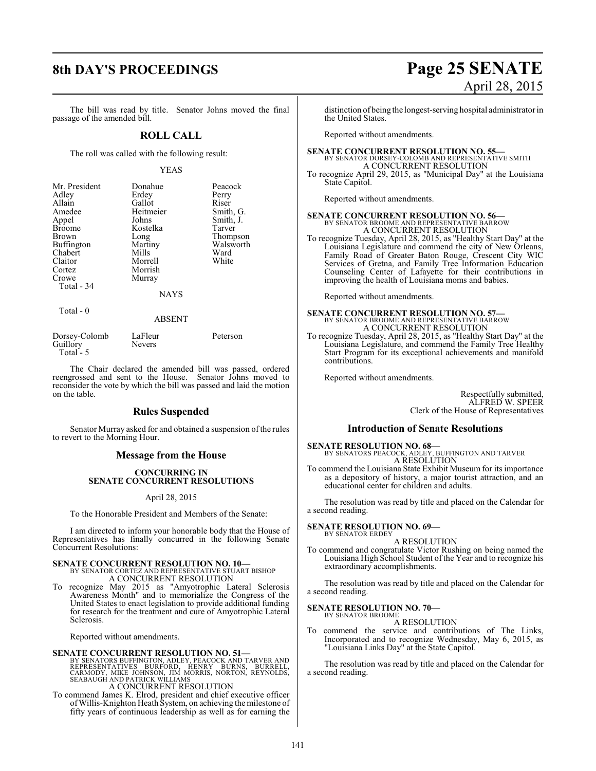#### The bill was read by title. Senator Johns moved the final passage of the amended bill.

#### **ROLL CALL**

The roll was called with the following result:

#### YEAS

| Mr. President     | Donahue     | Peacock   |
|-------------------|-------------|-----------|
| Adley             | Erdey       | Perry     |
| Allain            | Gallot      | Riser     |
| Amedee            | Heitmeier   | Smith, G. |
| Appel             | Johns       | Smith, J. |
| <b>Broome</b>     | Kostelka    | Tarver    |
| Brown             | Long        | Thompson  |
| <b>Buffington</b> | Martiny     | Walsworth |
| Chabert           | Mills       | Ward      |
| Claitor           | Morrell     | White     |
| Cortez            | Morrish     |           |
| Crowe             | Murray      |           |
| Total - 34        |             |           |
|                   | <b>NAYS</b> |           |
| Total - 0         |             |           |

#### ABSENT

| Dorsey-Colomb | LaFleur       | Peterson |
|---------------|---------------|----------|
| Guillory      | <b>Nevers</b> |          |
| Total $-5$    |               |          |

The Chair declared the amended bill was passed, ordered reengrossed and sent to the House. Senator Johns moved to reconsider the vote by which the bill was passed and laid the motion on the table.

#### **Rules Suspended**

Senator Murray asked for and obtained a suspension of the rules to revert to the Morning Hour.

#### **Message from the House**

#### **CONCURRING IN SENATE CONCURRENT RESOLUTIONS**

April 28, 2015

To the Honorable President and Members of the Senate:

I am directed to inform your honorable body that the House of Representatives has finally concurred in the following Senate Concurrent Resolutions:

## **SENATE CONCURRENT RESOLUTION NO. 10—** BY SENATOR CORTEZ AND REPRESENTATIVE STUART BISHOP

A CONCURRENT RESOLUTION

To recognize May 2015 as "Amyotrophic Lateral Sclerosis Awareness Month" and to memorialize the Congress of the United States to enact legislation to provide additional funding for research for the treatment and cure of Amyotrophic Lateral Sclerosis.

Reported without amendments.

#### **SENATE CONCURRENT RESOLUTION NO. 51—**

BY SENATORS BUFFINGTON, ADLEY, PEACOCK AND TARVER AND<br>REPRESENTATIVES – BURNSON, HENRY – BURNS, BURRELL,<br>CARMODY, MIKE JOHNSON, JIM MORRIS, NORTON, REYNOLDS,<br>SEABAUGH AND PATRICK WILLIAMS<br>– A CONCURRENT RESOLUTION

To commend James K. Elrod, president and chief executive officer ofWillis-Knighton Heath System, on achieving the milestone of fifty years of continuous leadership as well as for earning the

# **8th DAY'S PROCEEDINGS Page 25 SENATE** April 28, 2015

distinction of being the longest-serving hospital administratorin the United States.

Reported without amendments.

# **SENATE CONCURRENT RESOLUTION NO. 55—**<br>BY SENATOR DORSEY-COLOMB AND REPRESENTATIVE SMITH A CONCURRENT RESOLUTION

To recognize April 29, 2015, as "Municipal Day" at the Louisiana State Capitol.

Reported without amendments.

**SENATE CONCURRENT RESOLUTION NO. 56—**<br>BY SENATOR BROOME AND REPRESENTATIVE BARROW A CONCURRENT RESOLUTION

To recognize Tuesday, April 28, 2015, as "Healthy Start Day" at the Louisiana Legislature and commend the city of New Orleans, Family Road of Greater Baton Rouge, Crescent City WIC Services of Gretna, and Family Tree Information Education Counseling Center of Lafayette for their contributions in improving the health of Louisiana moms and babies.

Reported without amendments.

# **SENATE CONCURRENT RESOLUTION NO. 57—**<br>BY SENATOR BROOME AND REPRESENTATIVE BARROW A CONCURRENT RESOLUTION

To recognize Tuesday, April 28, 2015, as "Healthy Start Day" at the Louisiana Legislature, and commend the Family Tree Healthy Start Program for its exceptional achievements and manifold contributions.

Reported without amendments.

Respectfully submitted, ALFRED W. SPEER Clerk of the House of Representatives

#### **Introduction of Senate Resolutions**

**SENATE RESOLUTION NO. 68—**<br>BY SENATORS PEACOCK, ADLEY, BUFFINGTON AND TARVER<br>A RESOLUTION

To commend the Louisiana State Exhibit Museum for its importance as a depository of history, a major tourist attraction, and an educational center for children and adults.

The resolution was read by title and placed on the Calendar for a second reading.

#### **SENATE RESOLUTION NO. 69—** BY SENATOR ERDEY

A RESOLUTION

To commend and congratulate Victor Rushing on being named the Louisiana High School Student of the Year and to recognize his extraordinary accomplishments.

The resolution was read by title and placed on the Calendar for a second reading.

#### **SENATE RESOLUTION NO. 70—** BY SENATOR BROOME

A RESOLUTION

To commend the service and contributions of The Links, Incorporated and to recognize Wednesday, May 6, 2015, as "Louisiana Links Day" at the State Capitol.

The resolution was read by title and placed on the Calendar for a second reading.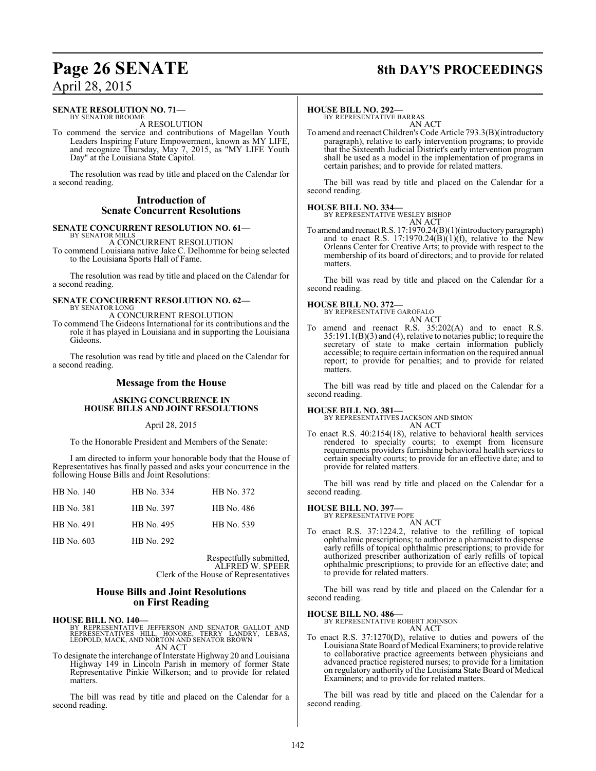# **Page 26 SENATE 8th DAY'S PROCEEDINGS**

## April 28, 2015

#### **SENATE RESOLUTION NO. 71—** BY SENATOR BROOME

A RESOLUTION

To commend the service and contributions of Magellan Youth Leaders Inspiring Future Empowerment, known as MY LIFE, and recognize Thursday, May 7, 2015, as "MY LIFE Youth Day" at the Louisiana State Capitol.

The resolution was read by title and placed on the Calendar for a second reading.

#### **Introduction of Senate Concurrent Resolutions**

#### **SENATE CONCURRENT RESOLUTION NO. 61—** BY SENATOR MILLS

A CONCURRENT RESOLUTION

To commend Louisiana native Jake C. Delhomme for being selected to the Louisiana Sports Hall of Fame.

The resolution was read by title and placed on the Calendar for a second reading.

#### **SENATE CONCURRENT RESOLUTION NO. 62—** BY SENATOR LONG

A CONCURRENT RESOLUTION

To commend The Gideons International for its contributions and the role it has played in Louisiana and in supporting the Louisiana Gideons.

The resolution was read by title and placed on the Calendar for a second reading.

#### **Message from the House**

#### **ASKING CONCURRENCE IN HOUSE BILLS AND JOINT RESOLUTIONS**

April 28, 2015

To the Honorable President and Members of the Senate:

I am directed to inform your honorable body that the House of Representatives has finally passed and asks your concurrence in the following House Bills and Joint Resolutions:

| HB No. 140 | HB No. 334 | HB No. 372 |
|------------|------------|------------|
| HB No. 381 | HB No. 397 | HB No. 486 |
| HB No. 491 | HB No. 495 | HB No. 539 |
| HB No. 603 | HB No. 292 |            |

Respectfully submitted, ALFRED W. SPEER Clerk of the House of Representatives

#### **House Bills and Joint Resolutions on First Reading**

**HOUSE BILL NO. 140—**<br>BY REPRESENTATIVE JEFFERSON AND SENATOR GALLOT AND<br>REPRESENTATIVES HILL, HONORE, TERRY LANDRY, LEBAS,<br>LEOPOLD, MACK, AND NORTON AND SENATOR BROWN AN ACT

To designate the interchange of Interstate Highway 20 and Louisiana Highway 149 in Lincoln Parish in memory of former State Representative Pinkie Wilkerson; and to provide for related matters.

The bill was read by title and placed on the Calendar for a second reading.

#### **HOUSE BILL NO. 292—**

BY REPRESENTATIVE BARRAS AN ACT

To amend and reenact Children's Code Article 793.3(B)(introductory paragraph), relative to early intervention programs; to provide that the Sixteenth Judicial District's early intervention program shall be used as a model in the implementation of programs in certain parishes; and to provide for related matters.

The bill was read by title and placed on the Calendar for a second reading.

**HOUSE BILL NO. 334—** BY REPRESENTATIVE WESLEY BISHOP AN ACT

To amend and reenactR.S. 17:1970.24(B)(1)(introductory paragraph) and to enact R.S. 17:1970.24 $(\overrightarrow{B})(1)(f)$ , relative to the New Orleans Center for Creative Arts; to provide with respect to the membership of its board of directors; and to provide for related matters.

The bill was read by title and placed on the Calendar for a second reading.

#### **HOUSE BILL NO. 372—**

BY REPRESENTATIVE GAROFALO AN ACT

To amend and reenact R.S. 35:202(A) and to enact R.S. 35:191.1(B)(3) and (4), relative to notaries public; to require the secretary of state to make certain information publicly accessible; to require certain information on the required annual report; to provide for penalties; and to provide for related matters.

The bill was read by title and placed on the Calendar for a second reading.

#### **HOUSE BILL NO. 381—**

BY REPRESENTATIVES JACKSON AND SIMON

AN ACT To enact R.S. 40:2154(18), relative to behavioral health services rendered to specialty courts; to exempt from licensure requirements providers furnishing behavioral health services to certain specialty courts; to provide for an effective date; and to provide for related matters.

The bill was read by title and placed on the Calendar for a second reading.

# **HOUSE BILL NO. 397—** BY REPRESENTATIVE POPE

AN ACT To enact R.S. 37:1224.2, relative to the refilling of topical ophthalmic prescriptions; to authorize a pharmacist to dispense early refills of topical ophthalmic prescriptions; to provide for authorized prescriber authorization of early refills of topical ophthalmic prescriptions; to provide for an effective date; and to provide for related matters.

The bill was read by title and placed on the Calendar for a second reading.

**HOUSE BILL NO. 486—**

BY REPRESENTATIVE ROBERT JOHNSON AN ACT

To enact R.S. 37:1270(D), relative to duties and powers of the Louisiana State Board of Medical Examiners; to provide relative to collaborative practice agreements between physicians and advanced practice registered nurses; to provide for a limitation on regulatory authority of the Louisiana State Board of Medical Examiners; and to provide for related matters.

The bill was read by title and placed on the Calendar for a second reading.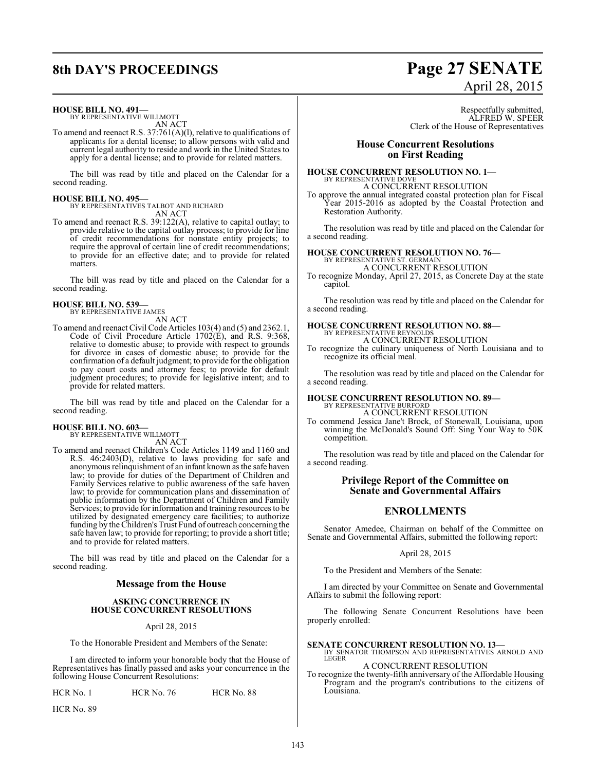# **8th DAY'S PROCEEDINGS Page 27 SENATE**

#### **HOUSE BILL NO. 491—**

BY REPRESENTATIVE WILLMOTT AN ACT

To amend and reenact R.S. 37:761(A)(l), relative to qualifications of applicants for a dental license; to allow persons with valid and current legal authority to reside and work in the United States to apply for a dental license; and to provide for related matters.

The bill was read by title and placed on the Calendar for a second reading.

#### **HOUSE BILL NO. 495—**

BY REPRESENTATIVES TALBOT AND RICHARD AN ACT

To amend and reenact R.S. 39:122(A), relative to capital outlay; to provide relative to the capital outlay process; to provide for line of credit recommendations for nonstate entity projects; to require the approval of certain line of credit recommendations; to provide for an effective date; and to provide for related matters.

The bill was read by title and placed on the Calendar for a second reading.

### **HOUSE BILL NO. 539—**

BY REPRESENTATIVE JAMES

AN ACT To amend and reenact Civil Code Articles 103(4) and (5) and 2362.1, Code of Civil Procedure Article 1702(E), and R.S. 9:368, relative to domestic abuse; to provide with respect to grounds for divorce in cases of domestic abuse; to provide for the confirmation of a default judgment; to provide for the obligation to pay court costs and attorney fees; to provide for default judgment procedures; to provide for legislative intent; and to provide for related matters.

The bill was read by title and placed on the Calendar for a second reading.

# **HOUSE BILL NO. 603—** BY REPRESENTATIVE WILLMOTT

AN ACT

To amend and reenact Children's Code Articles 1149 and 1160 and R.S. 46:2403(D), relative to laws providing for safe and anonymous relinquishment of an infant known as the safe haven law; to provide for duties of the Department of Children and Family Services relative to public awareness of the safe haven law; to provide for communication plans and dissemination of public information by the Department of Children and Family Services; to provide for information and training resources to be utilized by designated emergency care facilities; to authorize funding by the Children's Trust Fund of outreach concerning the safe haven law; to provide for reporting; to provide a short title; and to provide for related matters.

The bill was read by title and placed on the Calendar for a second reading.

#### **Message from the House**

#### **ASKING CONCURRENCE IN HOUSE CONCURRENT RESOLUTIONS**

April 28, 2015

To the Honorable President and Members of the Senate:

I am directed to inform your honorable body that the House of Representatives has finally passed and asks your concurrence in the following House Concurrent Resolutions:

HCR No. 1 HCR No. 76 HCR No. 88

HCR No. 89

# April 28, 2015

Respectfully submitted, ALFRED W. SPEER Clerk of the House of Representatives

#### **House Concurrent Resolutions on First Reading**

#### **HOUSE CONCURRENT RESOLUTION NO. 1—** BY REPRESENTATIVE DOVE A CONCURRENT RESOLUTION

To approve the annual integrated coastal protection plan for Fiscal Year 2015-2016 as adopted by the Coastal Protection and Restoration Authority.

The resolution was read by title and placed on the Calendar for a second reading.

#### **HOUSE CONCURRENT RESOLUTION NO. 76—** BY REPRESENTATIVE ST A CONCURRENT RESOLUTION

To recognize Monday, April 27, 2015, as Concrete Day at the state capitol.

The resolution was read by title and placed on the Calendar for a second reading.

#### **HOUSE CONCURRENT RESOLUTION NO. 88—** BY REPRESENTATIVE REYNOLDS A CONCURRENT RESOLUTION

To recognize the culinary uniqueness of North Louisiana and to recognize its official meal.

The resolution was read by title and placed on the Calendar for a second reading.

## **HOUSE CONCURRENT RESOLUTION NO. 89—** BY REPRESENTATIVE BURFORD A CONCURRENT RESOLUTION

To commend Jessica Jane't Brock, of Stonewall, Louisiana, upon winning the McDonald's Sound Off: Sing Your Way to 50K competition.

The resolution was read by title and placed on the Calendar for a second reading.

### **Privilege Report of the Committee on Senate and Governmental Affairs**

### **ENROLLMENTS**

Senator Amedee, Chairman on behalf of the Committee on Senate and Governmental Affairs, submitted the following report:

#### April 28, 2015

To the President and Members of the Senate:

I am directed by your Committee on Senate and Governmental Affairs to submit the following report:

The following Senate Concurrent Resolutions have been properly enrolled:

#### **SENATE CONCURRENT RESOLUTION NO. 13—**

BY SENATOR THOMPSON AND REPRESENTATIVES ARNOLD AND LEGER A CONCURRENT RESOLUTION

To recognize the twenty-fifth anniversary of the Affordable Housing Program and the program's contributions to the citizens of Louisiana.